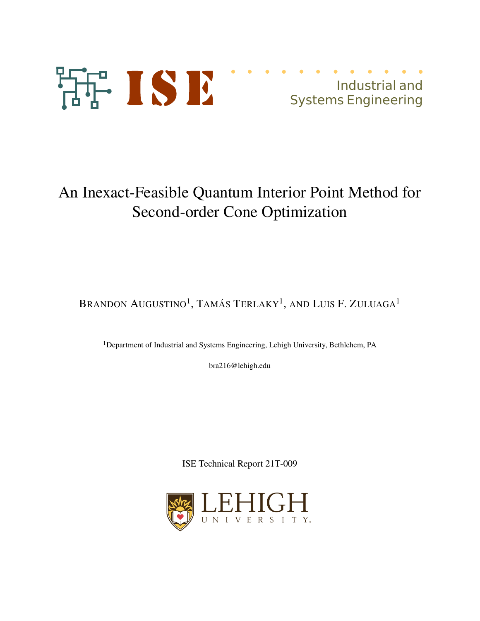

# An Inexact-Feasible Quantum Interior Point Method for Second-order Cone Optimization

Brandon Augustino<sup>1</sup>, Tamás Terlaky<sup>1</sup>, and Luis F. Zuluaga<sup>1</sup>

<sup>1</sup>Department of Industrial and Systems Engineering, Lehigh University, Bethlehem, PA

bra216@lehigh.edu

ISE Technical Report 21T-009

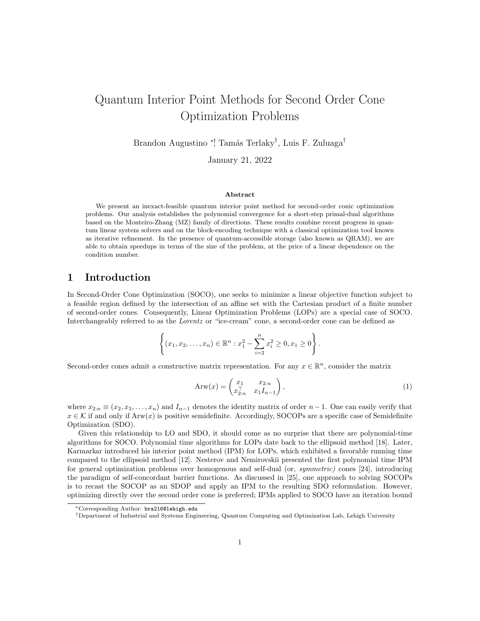# Quantum Interior Point Methods for Second Order Cone Optimization Problems

Brandon Augustino \*¦ Tamás Terlaky<sup>⊺</sup>, Luis F. Zuluaga<sup>†</sup>

January 21, 2022

#### Abstract

We present an inexact-feasible quantum interior point method for second-order conic optimization problems. Our analysis establishes the polynomial convergence for a short-step primal-dual algorithms based on the Monteiro-Zhang (MZ) family of directions. These results combine recent progress in quantum linear system solvers and on the block-encoding technique with a classical optimization tool known as iterative refinement. In the presence of quantum-accessible storage (also known as QRAM), we are able to obtain speedups in terms of the size of the problem, at the price of a linear dependence on the condition number.

## 1 Introduction

In Second-Order Cone Optimization (SOCO), one seeks to minimize a linear objective function subject to a feasible region defined by the intersection of an affine set with the Cartesian product of a finite number of second-order cones. Consequently, Linear Optimization Problems (LOPs) are a special case of SOCO. Interchangeably referred to as the *Lorentz* or "ice-cream" cone, a second-order cone can be defined as

$$
\left\{ (x_1, x_2, \dots, x_n) \in \mathbb{R}^n : x_1^2 - \sum_{i=2}^n x_i^2 \ge 0, x_1 \ge 0 \right\}.
$$

Second-order cones admit a constructive matrix representation. For any  $x \in \mathbb{R}^n$ , consider the matrix

$$
Arw(x) = \begin{pmatrix} x_1 & x_{2:n} \\ x_{2:n}^{\top} & x_1 I_{n-1} \end{pmatrix},
$$
\n(1)

where  $x_{2:n} \equiv (x_2, x_3, \ldots, x_n)$  and  $I_{n-1}$  denotes the identity matrix of order  $n-1$ . One can easily verify that  $x \in \mathcal{K}$  if and only if Arw(x) is positive semidefinite. Accordingly, SOCOPs are a specific case of Semidefinite Optimization (SDO).

Given this relationship to LO and SDO, it should come as no surprise that there are polynomial-time algorithms for SOCO. Polynomial time algorithms for LOPs date back to the ellipsoid method [18]. Later, Karmarkar introduced his interior point method (IPM) for LOPs, which exhibited a favorable running time compared to the ellipsoid method [12]. Nesterov and Nemirovskii presented the first polynomial time IPM for general optimization problems over homogenous and self-dual (or, symmetric) cones [24], introducing the paradigm of self-concordant barrier functions. As discussed in [25], one approach to solving SOCOPs is to recast the SOCOP as an SDOP and apply an IPM to the resulting SDO reformulation. However, optimizing directly over the second order cone is preferred; IPMs applied to SOCO have an iteration bound

<sup>∗</sup>Corresponding Author: bra216@lehigh.edu

<sup>†</sup>Department of Industrial and Systems Engineering, Quantum Computing and Optimization Lab, Lehigh University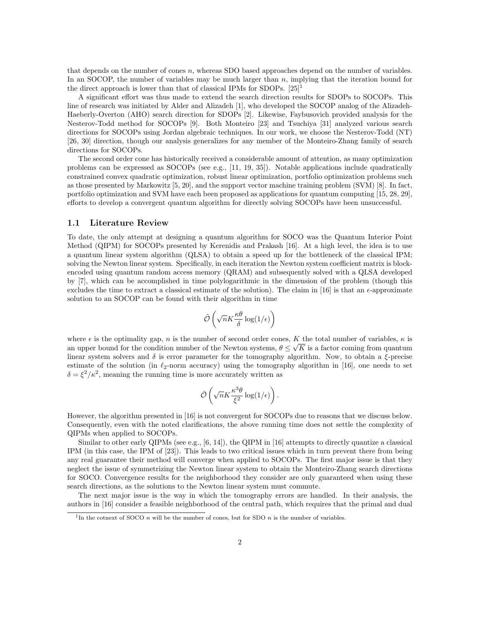that depends on the number of cones n, whereas SDO based approaches depend on the number of variables. In an SOCOP, the number of variables may be much larger than  $n$ , implying that the iteration bound for the direct approach is lower than that of classical IPMs for SDOPs.  $[25]$ <sup>1</sup>

A significant effort was thus made to extend the search direction results for SDOPs to SOCOPs. This line of research was initiated by Alder and Alizadeh [1], who developed the SOCOP analog of the Alizadeh-Haeberly-Overton (AHO) search direction for SDOPs [2]. Likewise, Faybusovich provided analysis for the Nesterov-Todd method for SOCOPs [9]. Both Monteiro [23] and Tsuchiya [31] analyzed various search directions for SOCOPs using Jordan algebraic techniques. In our work, we choose the Nesterov-Todd (NT) [26, 30] direction, though our analysis generalizes for any member of the Monteiro-Zhang family of search directions for SOCOPs.

The second order cone has historically received a considerable amount of attention, as many optimization problems can be expressed as SOCOPs (see e.g., [11, 19, 35]). Notable applications include quadratically constrained convex quadratic optimization, robust linear optimization, portfolio optimization problems such as those presented by Markowitz [5, 20], and the support vector machine training problem (SVM) [8]. In fact, portfolio optimization and SVM have each been proposed as applications for quantum computing [15, 28, 29], efforts to develop a convergent quantum algorithm for directly solving SOCOPs have been unsuccessful.

#### 1.1 Literature Review

To date, the only attempt at designing a quantum algorithm for SOCO was the Quantum Interior Point Method (QIPM) for SOCOPs presented by Kerenidis and Prakash [16]. At a high level, the idea is to use a quantum linear system algorithm (QLSA) to obtain a speed up for the bottleneck of the classical IPM; solving the Newton linear system. Specifically, in each iteration the Newton system coefficient matrix is blockencoded using quantum random access memory (QRAM) and subsequently solved with a QLSA developed by [7], which can be accomplished in time polylogarithmic in the dimension of the problem (though this excludes the time to extract a classical estimate of the solution). The claim in [16] is that an  $\epsilon$ -approximate solution to an SOCOP can be found with their algorithm in time

$$
\tilde{\mathcal{O}}\left(\sqrt{n}K\frac{\kappa\theta}{\delta}\log(1/\epsilon)\right)
$$

where  $\epsilon$  is the optimality gap, n is the number of second order cones, K the total number of variables,  $\kappa$  is an upper bound for the condition number of the Newton systems,  $\theta \leq \sqrt{K}$  is a factor coming from quantum and  $\theta$ . linear system solvers and  $\delta$  is error parameter for the tomography algorithm. Now, to obtain a  $\xi$ -precise estimate of the solution (in  $\ell_2$ -norm accuracy) using the tomography algorithm in [16], one needs to set  $\delta = \xi^2 / \kappa^2$ , meaning the running time is more accurately written as

$$
\tilde{\mathcal{O}}\left(\sqrt{n}K\frac{\kappa^3\theta}{\xi^2}\log(1/\epsilon)\right).
$$

However, the algorithm presented in [16] is not convergent for SOCOPs due to reasons that we discuss below. Consequently, even with the noted clarifications, the above running time does not settle the complexity of QIPMs when applied to SOCOPs.

Similar to other early QIPMs (see e.g.,  $[6, 14]$ ), the QIPM in [16] attempts to directly quantize a classical IPM (in this case, the IPM of [23]). This leads to two critical issues which in turn prevent there from being any real guarantee their method will converge when applied to SOCOPs. The first major issue is that they neglect the issue of symmetrizing the Newton linear system to obtain the Monteiro-Zhang search directions for SOCO. Convergence results for the neighborhood they consider are only guaranteed when using these search directions, as the solutions to the Newton linear system must commute.

The next major issue is the way in which the tomography errors are handled. In their analysis, the authors in [16] consider a feasible neighborhood of the central path, which requires that the primal and dual

<sup>&</sup>lt;sup>1</sup>In the cotnext of SOCO *n* will be the number of cones, but for SDO *n* is the number of variables.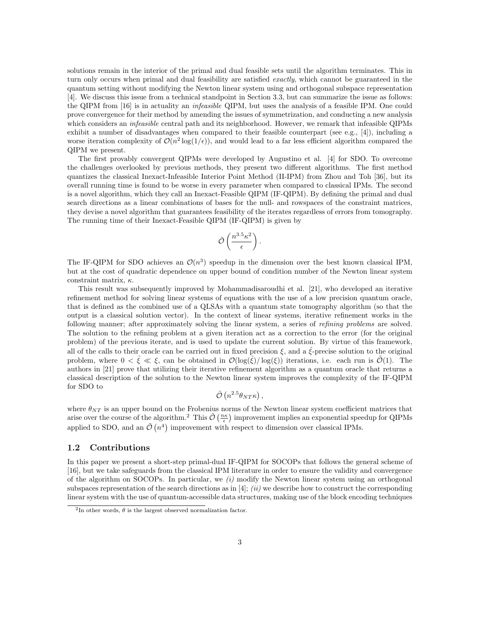solutions remain in the interior of the primal and dual feasible sets until the algorithm terminates. This in turn only occurs when primal and dual feasibility are satisfied *exactly*, which cannot be guaranteed in the quantum setting without modifying the Newton linear system using and orthogonal subspace representation [4]. We discuss this issue from a technical standpoint in Section 3.3, but can summarize the issue as follows: the QIPM from [16] is in actuality an infeasible QIPM, but uses the analysis of a feasible IPM. One could prove convergence for their method by amending the issues of symmetrization, and conducting a new analysis which considers an *infeasible* central path and its neighborhood. However, we remark that infeasible QIPMs exhibit a number of disadvantages when compared to their feasible counterpart (see e.g., [4]), including a worse iteration complexity of  $\mathcal{O}(n^2 \log(1/\epsilon))$ , and would lead to a far less efficient algorithm compared the QIPM we present.

The first provably convergent QIPMs were developed by Augustino et al. [4] for SDO. To overcome the challenges overlooked by previous methods, they present two different algorithms. The first method quantizes the classical Inexact-Infeasible Interior Point Method (II-IPM) from Zhou and Toh [36], but its overall running time is found to be worse in every parameter when compared to classical IPMs. The second is a novel algorithm, which they call an Inexact-Feasible QIPM (IF-QIPM). By defining the primal and dual search directions as a linear combinations of bases for the null- and rowspaces of the constraint matrices, they devise a novel algorithm that guarantees feasibility of the iterates regardless of errors from tomography. The running time of their Inexact-Feasible QIPM (IF-QIPM) is given by

$$
\tilde{\mathcal{O}}\left(\frac{n^{3.5}\kappa^2}{\epsilon}\right).
$$

The IF-QIPM for SDO achieves an  $\mathcal{O}(n^3)$  speedup in the dimension over the best known classical IPM, but at the cost of quadratic dependence on upper bound of condition number of the Newton linear system constraint matrix,  $\kappa$ .

This result was subsequently improved by Mohammadisaroudhi et al. [21], who developed an iterative refinement method for solving linear systems of equations with the use of a low precision quantum oracle, that is defined as the combined use of a QLSAs with a quantum state tomography algorithm (so that the output is a classical solution vector). In the context of linear systems, iterative refinement works in the following manner; after approximately solving the linear system, a series of *refining problems* are solved. The solution to the refining problem at a given iteration act as a correction to the error (for the original problem) of the previous iterate, and is used to update the current solution. By virtue of this framework, all of the calls to their oracle can be carried out in fixed precision  $\xi$ , and a  $\xi$ -precise solution to the original problem, where  $0 < \xi \ll \xi$ , can be obtained in  $\mathcal{O}(\log(\xi)/\log(\xi))$  iterations, i.e. each run is  $\mathcal{O}(1)$ . The authors in [21] prove that utilizing their iterative refinement algorithm as a quantum oracle that returns a classical description of the solution to the Newton linear system improves the complexity of the IF-QIPM for SDO to

$$
\tilde{\mathcal{O}}\left(n^{2.5}\theta_{NT}\kappa\right),\,
$$

where  $\theta_{NT}$  is an upper bound on the Frobenius norms of the Newton linear system coefficient matrices that arise over the course of the algorithm.<sup>2</sup> This  $\tilde{\mathcal{O}}\left(\frac{n\kappa}{\epsilon}\right)$  improvement implies an exponential speedup for QIPMs applied to SDO, and an  $\tilde{\mathcal{O}}(n^4)$  improvement with respect to dimension over classical IPMs.

#### 1.2 Contributions

In this paper we present a short-step primal-dual IF-QIPM for SOCOPs that follows the general scheme of [16], but we take safeguards from the classical IPM literature in order to ensure the validity and convergence of the algorithm on SOCOPs. In particular, we  $(i)$  modify the Newton linear system using an orthogonal subspaces representation of the search directions as in [4]; (ii) we describe how to construct the corresponding linear system with the use of quantum-accessible data structures, making use of the block encoding techniques

<sup>&</sup>lt;sup>2</sup>In other words,  $\theta$  is the largest observed normalization factor.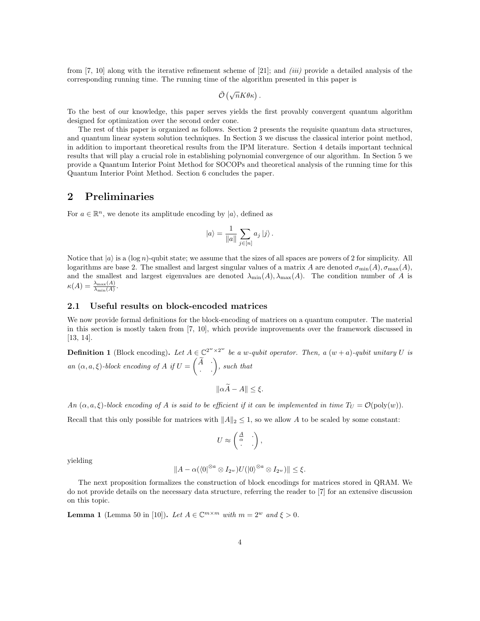from [7, 10] along with the iterative refinement scheme of [21]; and *(iii)* provide a detailed analysis of the corresponding running time. The running time of the algorithm presented in this paper is

$$
\tilde{\mathcal{O}}\left(\sqrt{n}K\theta\kappa\right).
$$

To the best of our knowledge, this paper serves yields the first provably convergent quantum algorithm designed for optimization over the second order cone.

The rest of this paper is organized as follows. Section 2 presents the requisite quantum data structures, and quantum linear system solution techniques. In Section 3 we discuss the classical interior point method, in addition to important theoretical results from the IPM literature. Section 4 details important technical results that will play a crucial role in establishing polynomial convergence of our algorithm. In Section 5 we provide a Quantum Interior Point Method for SOCOPs and theoretical analysis of the running time for this Quantum Interior Point Method. Section 6 concludes the paper.

#### 2 Preliminaries

For  $a \in \mathbb{R}^n$ , we denote its amplitude encoding by  $|a\rangle$ , defined as

$$
|a\rangle = \frac{1}{\|a\|} \sum_{j \in [n]} a_j |j\rangle.
$$

Notice that  $|a\rangle$  is a (log n)-qubit state; we assume that the sizes of all spaces are powers of 2 for simplicity. All logarithms are base 2. The smallest and largest singular values of a matrix A are denoted  $\sigma_{\min}(A), \sigma_{\max}(A)$ , and the smallest and largest eigenvalues are denoted  $\lambda_{\min}(A), \lambda_{\max}(A)$ . The condition number of A is  $\kappa(A)=\frac{\lambda_{\max}(A)}{\lambda_{\min}(A)}$ .

#### 2.1 Useful results on block-encoded matrices

We now provide formal definitions for the block-encoding of matrices on a quantum computer. The material in this section is mostly taken from [7, 10], which provide improvements over the framework discussed in [13, 14].

**Definition 1** (Block encoding). Let  $A \in \mathbb{C}^{2^w \times 2^w}$  be a w-qubit operator. Then, a  $(w+a)$ -qubit unitary U is an  $(\alpha, a, \xi)$ -block encoding of A if  $U =$  $\begin{pmatrix} \widetilde A & \cdot \\ \cdot & \cdot \end{pmatrix}$ , such that

$$
\|\alpha \widetilde{A} - A\| \le \xi.
$$

An  $(\alpha, a, \xi)$ -block encoding of A is said to be efficient if it can be implemented in time  $T_U = \mathcal{O}(\text{poly}(w))$ .

Recall that this only possible for matrices with  $||A||_2 \leq 1$ , so we allow A to be scaled by some constant:

$$
U \approx \begin{pmatrix} \frac{A}{\alpha} & \cdot \\ \cdot & \cdot \end{pmatrix},
$$

yielding

$$
||A - \alpha(\langle 0|^{\otimes a} \otimes I_{2^w})U(|0\rangle^{\otimes a} \otimes I_{2^w})|| \leq \xi.
$$

The next proposition formalizes the construction of block encodings for matrices stored in QRAM. We do not provide details on the necessary data structure, referring the reader to [7] for an extensive discussion on this topic.

**Lemma 1** (Lemma 50 in [10]). Let  $A \in \mathbb{C}^{m \times m}$  with  $m = 2^w$  and  $\xi > 0$ .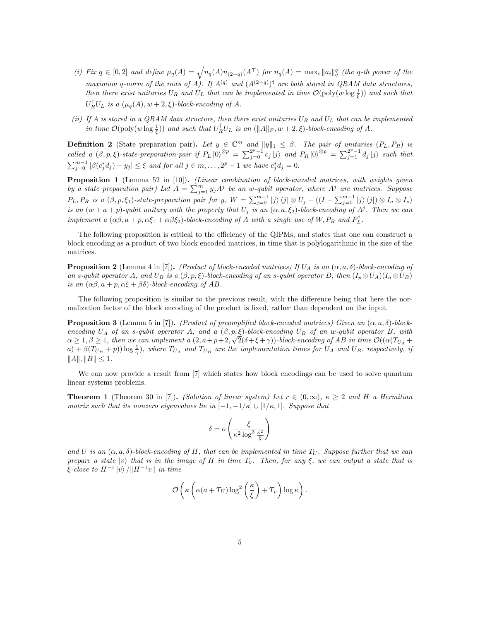- (i) Fix  $q \in [0,2]$  and define  $\mu_q(A) = \sqrt{n_q(A)n_{(2-q)}(A^{\top})}$  for  $n_q(A) = \max_i ||a_i||_q^q$  (the q-th power of the maximum q-norm of the rows of A). If  $A^{(q)}$  and  $(A^{(2-q)})^{\dagger}$  are both stored in QRAM data structures, then there exist unitaries  $U_R$  and  $U_L$  that can be implemented in time  $\mathcal{O}(\text{poly}(w \log \frac{1}{\xi}))$  and such that  $U_R^{\dagger}U_L$  is a  $(\mu_q(A), w+2, \xi)$ -block-encoding of A.
- (ii) If A is stored in a QRAM data structure, then there exist unitaries  $U_R$  and  $U_L$  that can be implemented in time  $\mathcal{O}(\text{poly}(w \log \frac{1}{\xi}))$  and such that  $U_R^{\dagger} U_L$  is an  $(\|A\|_F, w + 2, \xi)$ -block-encoding of A.

**Definition 2** (State preparation pair). Let  $y \in \mathbb{C}^m$  and  $||y||_1 \leq \beta$ . The pair of unitaries  $(P_L, P_R)$  is called a  $(\beta, p, \xi)$ -state-preparation-pair if  $P_L |0\rangle^{\otimes p} = \sum_{j=0}^{2^p-1} c_j |j\rangle$  and  $P_R |0\rangle^{\otimes p} = \sum_{j=1}^{2^p-1} d_j |j\rangle$  such that  $\sum_{j=0}^{m-1} |\beta(c_j^*d_j) - y_j| \leq \xi$  and for all  $j \in m, \ldots, 2^p - 1$  we have  $c_j^*d_j = 0$ .

Proposition 1 (Lemma 52 in [10]). (Linear combination of block-encoded matrices, with weights given by a state preparation pair) Let  $A = \sum_{j=1}^{m} y_j A^j$  be an w-qubit operator, where  $A^j$  are matrices. Suppose  $P_L, P_R$  is a  $(\beta, p, \xi_1)$ -state-preparation pair for y,  $W = \sum_{j=0}^{m-1} |j\rangle \langle j| \otimes U_j + ((I - \sum_{j=0}^{m-1} |j\rangle \langle j|) \otimes I_a \otimes I_s)$ is an  $(w + a + p)$ -qubit unitary with the property that  $U_j$  is an  $(\alpha, a, \xi_2)$ -block-encoding of  $A^j$ . Then we can implement a  $(\alpha\beta, a+p, \alpha\xi_1+\alpha\beta\xi_2)$ -block-encoding of A with a single use of W,  $P_R$  and  $P_L^{\dagger}$ .

The following proposition is critical to the efficiency of the QIPMs, and states that one can construct a block encoding as a product of two block encoded matrices, in time that is polylogarithmic in the size of the matrices.

**Proposition 2** (Lemma 4 in [7]). (Product of block-encoded matrices) If  $U_A$  is an  $(\alpha, a, \delta)$ -block-encoding of an s-qubit operator A, and  $U_B$  is a  $(\beta, p, \xi)$ -block-encoding of an s-qubit operator B, then  $(I_p \otimes U_A)(I_a \otimes U_B)$ is an  $(\alpha\beta, a+p, \alpha\xi+\beta\delta)$ -block-encoding of AB.

The following proposition is similar to the previous result, with the difference being that here the normalization factor of the block encoding of the product is fixed, rather than dependent on the input.

**Proposition 3** (Lemma 5 in [7]). (Product of preamplified block-encoded matrices) Given an  $(\alpha, a, \delta)$ -blockencoding  $U_A$  of an s-qubit operator A, and a  $(\beta, p, \xi)$ -block-encoding  $U_B$  of an w-qubit operator B, with  $\alpha \geq 1, \beta \geq 1$ , then we can implement a  $(2, a+p+2, \sqrt{2}(\delta+\xi+\gamma))$ -block-encoding of AB in time  $\mathcal{O}((\alpha(T_{U_A}+\gamma)+\gamma)$  $(a) + \beta(T_{U_B} + p)) \log \frac{1}{\gamma}$ , where  $T_{U_A}$  and  $T_{U_B}$  are the implementation times for  $U_A$  and  $U_B$ , respectively, if  $||A||, ||B|| \leq 1.$ 

We can now provide a result from [7] which states how block encodings can be used to solve quantum linear systems problems.

**Theorem 1** (Theorem 30 in [7]). (Solution of linear system) Let  $r \in (0, \infty)$ ,  $\kappa \geq 2$  and H a Hermitian matrix such that its nonzero eigenvalues lie in  $[-1,-1/\kappa] \cup [1/\kappa,1]$ . Suppose that

$$
\delta = o\left(\frac{\xi}{\kappa^2 \log^3 \frac{\kappa^2}{\xi}}\right)
$$

and U is an  $(\alpha, a, \delta)$ -block-encoding of H, that can be implemented in time  $T_U$ . Suppose further that we can prepare a state  $|v\rangle$  that is in the image of H in time  $T_v$ . Then, for any  $\xi$ , we can output a state that is  $\xi$ -close to  $H^{-1} \ket{v}/\Vert H^{-1}v \Vert$  in time

$$
\mathcal{O}\left(\kappa\left(\alpha(a+T_U)\log^2\left(\frac{\kappa}{\xi}\right)+T_v\right)\log\kappa\right).
$$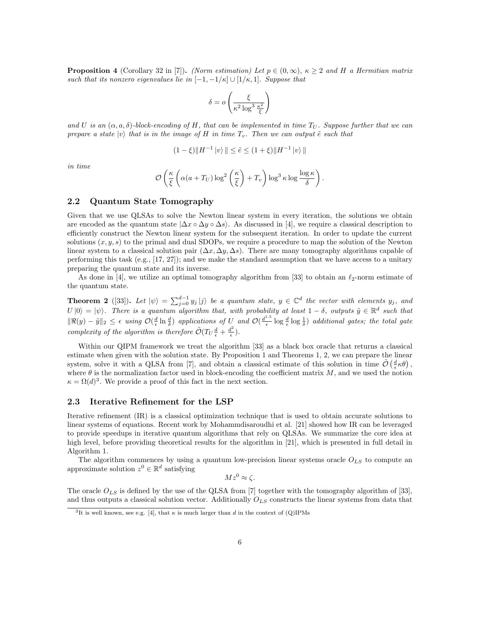**Proposition 4** (Corollary 32 in [7]). (Norm estimation) Let  $p \in (0, \infty)$ ,  $\kappa \geq 2$  and H a Hermitian matrix such that its nonzero eigenvalues lie in  $[-1, -1/\kappa] \cup [1/\kappa, 1]$ . Suppose that

$$
\delta = o\left(\frac{\xi}{\kappa^2 \log^3 \frac{\kappa^2}{\xi}}\right)
$$

and U is an  $(\alpha, a, \delta)$ -block-encoding of H, that can be implemented in time  $T_U$ . Suppose further that we can prepare a state  $|v\rangle$  that is in the image of H in time  $T_v$ . Then we can output  $\tilde{e}$  such that

$$
(1 - \xi) \|H^{-1} |v\rangle \| \le \tilde{e} \le (1 + \xi) \|H^{-1} |v\rangle \|
$$

in time

$$
\mathcal{O}\left(\frac{\kappa}{\xi}\left(\alpha(a+T_U)\log^2\left(\frac{\kappa}{\xi}\right)+T_v\right)\log^3\kappa\log\frac{\log\kappa}{\delta}\right).
$$

#### 2.2 Quantum State Tomography

Given that we use QLSAs to solve the Newton linear system in every iteration, the solutions we obtain are encoded as the quantum state  $|\Delta x \circ \Delta y \circ \Delta s|$ . As discussed in [4], we require a classical description to efficiently construct the Newton linear system for the subsequent iteration. In order to update the current solutions  $(x, y, s)$  to the primal and dual SDOPs, we require a procedure to map the solution of the Newton linear system to a classical solution pair  $(\Delta x, \Delta y, \Delta s)$ . There are many tomography algorithms capable of performing this task  $(e.g., [17, 27])$ ; and we make the standard assumption that we have access to a unitary preparing the quantum state and its inverse.

As done in [4], we utilize an optimal tomography algorithm from [33] to obtain an  $\ell_2$ -norm estimate of the quantum state.

**Theorem 2** ([33]). Let  $|\psi\rangle = \sum_{j=0}^{d-1} y_j |j\rangle$  be a quantum state,  $y \in \mathbb{C}^d$  the vector with elements  $y_j$ , and  $U |0\rangle = |\psi\rangle$ . There is a quantum algorithm that, with probability at least  $1 - \delta$ , outputs  $\tilde{y} \in \mathbb{R}^d$  such that  $\|\Re(y)-\tilde{y}\|_2 \leq \epsilon$  using  $\mathcal{O}(\frac{d}{\epsilon}\ln\frac{d}{\delta})$  applications of U and  $\mathcal{O}(\frac{d^{1.5}}{\epsilon})$  $\frac{d}{\epsilon} \log \frac{d}{\epsilon} \log \frac{1}{\delta}$  additional gates; the total gate complexity of the algorithm is therefore  $\tilde{\mathcal{O}}(T_U \frac{d}{\epsilon} + \frac{d^2}{\epsilon})$  $\frac{l^2}{\epsilon}$ ).

Within our QIPM framework we treat the algorithm [33] as a black box oracle that returns a classical estimate when given with the solution state. By Proposition 1 and Theorems 1, 2, we can prepare the linear system, solve it with a QLSA from [7], and obtain a classical estimate of this solution in time  $\tilde{\mathcal{O}}\left(\frac{d}{\epsilon}\kappa\theta\right)$ , where  $\theta$  is the normalization factor used in block-encoding the coefficient matrix  $M$ , and we used the notion  $\kappa = \Omega(d)^3$ . We provide a proof of this fact in the next section.

#### 2.3 Iterative Refinement for the LSP

Iterative refinement (IR) is a classical optimization technique that is used to obtain accurate solutions to linear systems of equations. Recent work by Mohammdisaroudhi et al. [21] showed how IR can be leveraged to provide speedups in iterative quantum algorithms that rely on QLSAs. We summarize the core idea at high level, before providing theoretical results for the algorithm in [21], which is presented in full detail in Algorithm 1.

The algorithm commences by using a quantum low-precision linear systems oracle  $O_{LS}$  to compute an approximate solution  $z^0 \in \mathbb{R}^d$  satisfying

 $Mz^0 \approx \zeta$ .

The oracle  $O_{LS}$  is defined by the use of the QLSA from [7] together with the tomography algorithm of [33], and thus outputs a classical solution vector. Additionally  $O_{LS}$  constructs the linear systems from data that

<sup>&</sup>lt;sup>3</sup>It is well known, see e.g. [4], that  $\kappa$  is much larger than d in the context of (Q)IPMs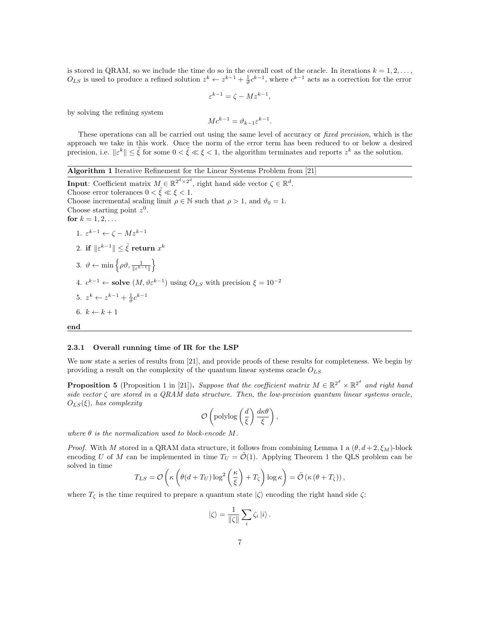is stored in QRAM, so we include the time do so in the overall cost of the oracle. In iterations  $k = 1, 2, \ldots$ ,  $O_{LS}$  is used to produce a refined solution  $z^k \leftarrow z^{k-1} + \frac{1}{\vartheta} c^{k-1}$ , where  $c^{k-1}$  acts as a correction for the error

$$
\varepsilon^{k-1} = \zeta - M z^{k-1},
$$

by solving the refining system

$$
Mc^{k-1} = \vartheta_{k-1} \varepsilon^{k-1}.
$$

These operations can all be carried out using the same level of accuracy or *fixed precision*, which is the approach we take in this work. Once the norm of the error term has been reduced to or below a desired precision, i.e.  $\|\varepsilon^k\| \leq \tilde{\xi}$  for some  $0 < \tilde{\xi} \ll \xi < 1$ , the algorithm terminates and reports  $z^k$  as the solution.

| <b>Algorithm 1</b> Iterative Refinement for the Linear Systems Problem from [21]                                         |
|--------------------------------------------------------------------------------------------------------------------------|
| <b>Input:</b> Coefficient matrix $M \in \mathbb{R}^{2^d \times 2^d}$ , right hand side vector $\zeta \in \mathbb{R}^d$ . |
| Choose error tolerances $0 < \tilde{\xi} \ll \xi < 1$ .                                                                  |
| Choose incremental scaling limit $\rho \in \mathbb{N}$ such that $\rho > 1$ , and $\vartheta_0 = 1$ .                    |
| Choose starting point $z^0$ .                                                                                            |
| for $k = 1, 2, $                                                                                                         |
| 1. $\varepsilon^{k-1} \leftarrow \zeta - M z^{k-1}$                                                                      |
| 2. if $\ \varepsilon^{k-1}\  \leq \tilde{\xi}$ return $x^k$                                                              |
| 3. $\vartheta \leftarrow \min \left\{ \rho \vartheta, \frac{1}{\ \varepsilon^{k-1}\ } \right\}$                          |
| 4. $c^{k-1} \leftarrow$ solve $(M, \vartheta \varepsilon^{k-1})$ using $O_{LS}$ with precision $\xi = 10^{-2}$           |
| 5. $z^k \leftarrow z^{k-1} + \frac{1}{2}c^{k-1}$                                                                         |
| 6. $k \leftarrow k+1$                                                                                                    |
| end                                                                                                                      |

#### 2.3.1 Overall running time of IR for the LSP

We now state a series of results from [21], and provide proofs of these results for completeness. We begin by providing a result on the complexity of the quantum linear systems oracle  $O_{LS}$ 

**Proposition 5** (Proposition 1 in [21]). Suppose that the coefficient matrix  $M \in \mathbb{R}^{2^d} \times \mathbb{R}^{2^d}$  and right hand side vector  $\zeta$  are stored in a QRAM data structure. Then, the low-precision quantum linear systems oracle,  $O_{LS}(\xi)$ , has complexity

$$
\mathcal{O}\left(\text{polylog}\left(\frac{d}{\xi}\right)\frac{d\kappa\theta}{\xi}\right),
$$

where  $\theta$  is the normalization used to block-encode M.

*Proof.* With M stored in a QRAM data structure, it follows from combining Lemma 1 a  $(\theta, d+2, \xi_M)$ -block encoding U of M can be implemented in time  $T_U = \tilde{\mathcal{O}}(1)$ . Applying Theorem 1 the QLS problem can be solved in time

$$
T_{LS} = \mathcal{O}\left(\kappa \left(\theta(d+T_U)\log^2\left(\frac{\kappa}{\xi}\right)+T_{\zeta}\right)\log \kappa\right) = \tilde{\mathcal{O}}\left(\kappa\left(\theta+T_{\zeta}\right)\right),\,
$$

where  $T_{\zeta}$  is the time required to prepare a quantum state  $|\zeta\rangle$  encoding the right hand side  $\zeta$ :

$$
\left|\zeta\right\rangle = \frac{1}{\|\zeta\|} \sum_{i} \zeta_{i} \left|i\right\rangle.
$$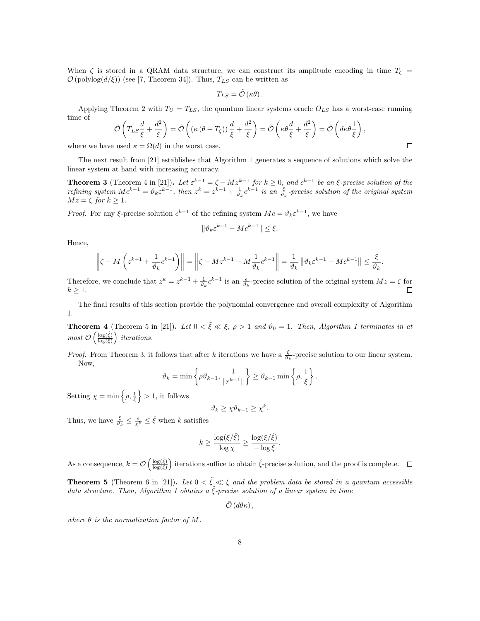When  $\zeta$  is stored in a QRAM data structure, we can construct its amplitude encoding in time  $T_{\zeta}$  =  $\mathcal{O}(\text{polylog}(d/\xi))$  (see [7, Theorem 34]). Thus,  $T_{LS}$  can be written as

$$
T_{LS} = \tilde{\mathcal{O}}\left(\kappa\theta\right).
$$

Applying Theorem 2 with  $T_U = T_{LS}$ , the quantum linear systems oracle  $O_{LS}$  has a worst-case running time of

$$
\tilde{\mathcal{O}}\left(T_{LS}\frac{d}{\xi}+\frac{d^2}{\xi}\right)=\tilde{\mathcal{O}}\left((\kappa\left(\theta+T_{\zeta}\right))\frac{d}{\xi}+\frac{d^2}{\xi}\right)=\tilde{\mathcal{O}}\left(\kappa\theta\frac{d}{\xi}+\frac{d^2}{\xi}\right)=\tilde{\mathcal{O}}\left(d\kappa\theta\frac{1}{\xi}\right),\,
$$

where we have used  $\kappa = \Omega(d)$  in the worst case.

The next result from [21] establishes that Algorithm 1 generates a sequence of solutions which solve the linear system at hand with increasing accuracy.

**Theorem 3** (Theorem 4 in [21]). Let  $\varepsilon^{k-1} = \zeta - Mz^{k-1}$  for  $k \ge 0$ , and  $c^{k-1}$  be an  $\xi$ -precise solution of the refining system  $Mc^{k-1} = \vartheta_k \varepsilon^{k-1}$ , then  $z^k = z^{k-1} + \frac{1}{\vartheta_k} c^{k-1}$  is an  $\frac{\varepsilon}{\vartheta_k}$ -precise solution of the original system  $Mz = \zeta$  for  $k > 1$ .

*Proof.* For any  $\xi$ -precise solution  $c^{k-1}$  of the refining system  $Mc = \vartheta_k \varepsilon^{k-1}$ , we have

$$
\|\vartheta_k \varepsilon^{k-1} - Mc^{k-1}\| \le \xi.
$$

Hence,

$$
\left\|\zeta - M\left(z^{k-1} + \frac{1}{\vartheta_k}c^{k-1}\right)\right\| = \left\|\zeta - Mz^{k-1} - M\frac{1}{\vartheta_k}c^{k-1}\right\| = \frac{1}{\vartheta_k}\left\|\vartheta_k\varepsilon^{k-1} - Mc^{k-1}\right\| \le \frac{\xi}{\vartheta_k}.
$$

Therefore, we conclude that  $z^k = z^{k-1} + \frac{1}{\vartheta_k} c^{k-1}$  is an  $\frac{\epsilon}{\vartheta_k}$ -precise solution of the original system  $Mz = \zeta$  for  $k > 1$ .

The final results of this section provide the polynomial convergence and overall complexity of Algorithm 1.

**Theorem 4** (Theorem 5 in [21]). Let  $0 < \tilde{\xi} \ll \xi$ ,  $\rho > 1$  and  $\vartheta_0 = 1$ . Then, Algorithm 1 terminates in at most  $\mathcal{O}\left(\frac{\log(\hat{\xi})}{\log(\xi)}\right)$  iterations.

*Proof.* From Theorem 3, it follows that after k iterations we have a  $\frac{\xi}{\vartheta_k}$ -precise solution to our linear system. Now,

$$
\vartheta_k = \min\left\{\rho \vartheta_{k-1}, \frac{1}{\|r^{k-1}\|}\right\} \geq \vartheta_{k-1} \min\left\{\rho, \frac{1}{\xi}\right\}.
$$

Setting  $\chi = \min \left\{ \rho, \frac{1}{\xi} \right\} > 1$ , it follows

$$
\vartheta_k \geq \chi \vartheta_{k-1} \geq \chi^k.
$$

Thus, we have  $\frac{\xi}{\vartheta_k} \leq \frac{\epsilon}{\chi^k} \leq \hat{\xi}$  when k satisfies

$$
k \ge \frac{\log(\xi/\hat{\xi})}{\log \chi} \ge \frac{\log(\xi/\hat{\xi})}{-\log \xi}.
$$

As a consequence,  $k = \mathcal{O}\left(\frac{\log(\hat{\xi})}{\log(\xi)}\right)$  iterations suffice to obtain  $\hat{\xi}$ -precise solution, and the proof is complete.

**Theorem 5** (Theorem 6 in [21]). Let  $0 < \tilde{\xi} \ll \xi$  and the problem data be stored in a quantum accessible data structure. Then, Algorithm 1 obtains a  $\tilde{\xi}$ -precise solution of a linear system in time

 $\tilde{\mathcal{O}}\left(d\theta\kappa\right),$ 

where  $\theta$  is the normalization factor of M.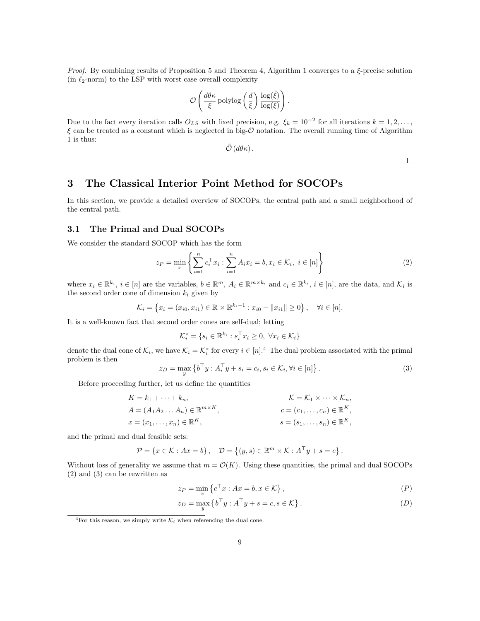*Proof.* By combining results of Proposition 5 and Theorem 4, Algorithm 1 converges to a  $\xi$ -precise solution (in  $\ell_2$ -norm) to the LSP with worst case overall complexity

$$
\mathcal{O}\left(\frac{d\theta\kappa}{\xi}\operatorname{polylog}\left(\frac{d}{\xi}\right)\frac{\log(\hat{\xi})}{\log(\xi)}\right)
$$

Due to the fact every iteration calls  $O_{LS}$  with fixed precision, e.g.  $\xi_k = 10^{-2}$  for all iterations  $k = 1, 2, \ldots$ ,  $\xi$  can be treated as a constant which is neglected in big- $\mathcal O$  notation. The overall running time of Algorithm 1 is thus:

$$
\tilde{\mathcal{O}}\left(d\theta\kappa\right).
$$

.

 $\Box$ 

# 3 The Classical Interior Point Method for SOCOPs

In this section, we provide a detailed overview of SOCOPs, the central path and a small neighborhood of the central path.

#### 3.1 The Primal and Dual SOCOPs

We consider the standard SOCOP which has the form

$$
z_P = \min_{x} \left\{ \sum_{i=1}^{n} c_i^{\top} x_i : \sum_{i=1}^{n} A_i x_i = b, x_i \in \mathcal{K}_i, \ i \in [n] \right\}
$$
 (2)

where  $x_i \in \mathbb{R}^{k_i}$ ,  $i \in [n]$  are the variables,  $b \in \mathbb{R}^m$ ,  $A_i \in \mathbb{R}^{m \times k_i}$  and  $c_i \in \mathbb{R}^{k_i}$ ,  $i \in [n]$ , are the data, and  $\mathcal{K}_i$  is the second order cone of dimension  $k_i$  given by

$$
\mathcal{K}_i = \left\{ x_i = (x_{i0}, x_{i1}) \in \mathbb{R} \times \mathbb{R}^{k_i - 1} : x_{i0} - ||x_{i1}|| \ge 0 \right\}, \quad \forall i \in [n].
$$

It is a well-known fact that second order cones are self-dual; letting

$$
\mathcal{K}_i^* = \{ s_i \in \mathbb{R}^{k_i} : s_i^\top x_i \ge 0, \ \forall x_i \in \mathcal{K}_i \}
$$

denote the dual cone of  $\mathcal{K}_i$ , we have  $\mathcal{K}_i = \mathcal{K}_i^*$  for every  $i \in [n]^4$ . The dual problem associated with the primal problem is then

$$
z_D = \max_{y} \left\{ b^\top y : A_i^\top y + s_i = c_i, s_i \in \mathcal{K}_i, \forall i \in [n] \right\}.
$$
 (3)

Before proceeding further, let us define the quantities

$$
K = k_1 + \dots + k_n,
$$
  
\n
$$
A = (A_1 A_2 \dots A_n) \in \mathbb{R}^{m \times K},
$$
  
\n
$$
x = (x_1, \dots, x_n) \in \mathbb{R}^K,
$$
  
\n
$$
x = (s_1, \dots, s_n) \in \mathbb{R}^K,
$$
  
\n
$$
s = (s_1, \dots, s_n) \in \mathbb{R}^K,
$$

and the primal and dual feasible sets:

$$
\mathcal{P} = \{x \in \mathcal{K} : Ax = b\}, \quad \mathcal{D} = \{(y, s) \in \mathbb{R}^m \times \mathcal{K} : A^\top y + s = c\}.
$$

Without loss of generality we assume that  $m = \mathcal{O}(K)$ . Using these quantities, the primal and dual SOCOPs (2) and (3) can be rewritten as

$$
z_P = \min_x \left\{ c^\top x : Ax = b, x \in \mathcal{K} \right\},\tag{P}
$$

$$
z_D = \max_{y} \left\{ b^\top y : A^\top y + s = c, s \in \mathcal{K} \right\}.
$$
 (D)

<sup>&</sup>lt;sup>4</sup>For this reason, we simply write  $\mathcal{K}_i$  when referencing the dual cone.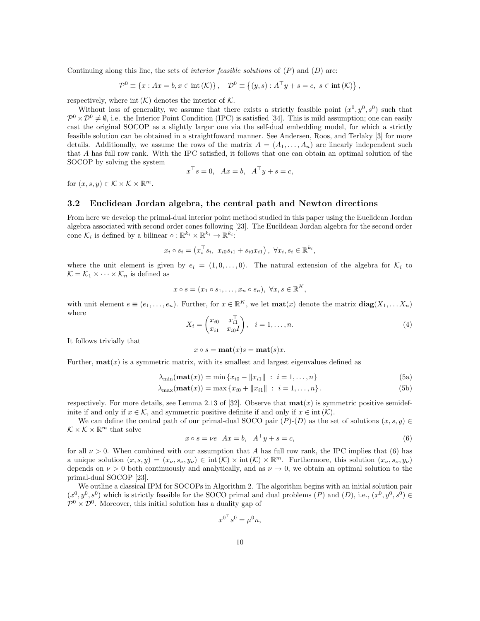Continuing along this line, the sets of *interior feasible solutions* of  $(P)$  and  $(D)$  are:

$$
\mathcal{P}^0 \equiv \{x : Ax = b, x \in \text{int}(\mathcal{K})\}, \quad \mathcal{D}^0 \equiv \{(y, s) : A^{\top}y + s = c, \ s \in \text{int}(\mathcal{K})\},
$$

respectively, where int  $(K)$  denotes the interior of K.

Without loss of generality, we assume that there exists a strictly feasible point  $(x^0, y^0, s^0)$  such that  $\mathcal{P}^0 \times \mathcal{D}^0 \neq \emptyset$ , i.e. the Interior Point Condition (IPC) is satisfied [34]. This is mild assumption; one can easily cast the original SOCOP as a slightly larger one via the self-dual embedding model, for which a strictly feasible solution can be obtained in a straightfoward manner. See Andersen, Roos, and Terlaky [3] for more details. Additionally, we assume the rows of the matrix  $A = (A_1, \ldots, A_n)$  are linearly independent such that A has full row rank. With the IPC satisfied, it follows that one can obtain an optimal solution of the SOCOP by solving the system

$$
x^{\top} s = 0
$$
,  $Ax = b$ ,  $A^{\top} y + s = c$ ,

for  $(x, s, y) \in \mathcal{K} \times \mathcal{K} \times \mathbb{R}^m$ .

#### 3.2 Euclidean Jordan algebra, the central path and Newton directions

From here we develop the primal-dual interior point method studied in this paper using the Euclidean Jordan algebra associated with second order cones following [23]. The Eucildean Jordan algebra for the second order cone  $\mathcal{K}_i$  is defined by a bilinear  $\circ : \mathbb{R}^{k_i} \times \mathbb{R}^{k_i} \to \mathbb{R}^{k_i}$ :

$$
x_i \circ s_i = \left( x_i^{\top} s_i, \ x_{i0} s_{i1} + s_{i0} x_{i1} \right), \ \forall x_i, s_i \in \mathbb{R}^{k_i},
$$

where the unit element is given by  $e_i = (1, 0, \ldots, 0)$ . The natural extension of the algebra for  $\mathcal{K}_i$  to  $\mathcal{K} = \mathcal{K}_1 \times \cdots \times \mathcal{K}_n$  is defined as

$$
x \circ s = (x_1 \circ s_1, \dots, x_n \circ s_n), \ \forall x, s \in \mathbb{R}^K,
$$

with unit element  $e \equiv (e_1, \ldots, e_n)$ . Further, for  $x \in \mathbb{R}^K$ , we let  $\text{mat}(x)$  denote the matrix  $\text{diag}(X_1, \ldots, X_n)$ where

$$
X_i = \begin{pmatrix} x_{i0} & x_{i1}^{\top} \\ x_{i1} & x_{i0}I \end{pmatrix}, \quad i = 1, ..., n.
$$
 (4)

It follows trivially that

$$
x \circ s = \mathbf{mat}(x)s = \mathbf{mat}(s)x.
$$

Further,  $\textbf{mat}(x)$  is a symmetric matrix, with its smallest and largest eigenvalues defined as

$$
\lambda_{\min}(\mathbf{mat}(x)) = \min \{ x_{i0} - ||x_{i1}|| : i = 1, ..., n \}
$$
 (5a)

$$
\lambda_{\max}(\text{mat}(x)) = \max \{ x_{i0} + ||x_{i1}|| \; : \; i = 1, ..., n \} \,. \tag{5b}
$$

respectively. For more details, see Lemma 2.13 of [32]. Observe that  $\text{mat}(x)$  is symmetric positive semidefinite if and only if  $x \in \mathcal{K}$ , and symmetric positive definite if and only if  $x \in \text{int}(\mathcal{K})$ .

We can define the central path of our primal-dual SOCO pair  $(P)-(D)$  as the set of solutions  $(x, s, y) \in$  $\mathcal{K} \times \mathcal{K} \times \mathbb{R}^m$  that solve

$$
x \circ s = \nu e \quad Ax = b, \quad A^{\perp} y + s = c,\tag{6}
$$

for all  $\nu > 0$ . When combined with our assumption that A has full row rank, the IPC implies that (6) has a unique solution  $(x, s, y) = (x_{\nu}, s_{\nu}, y_{\nu}) \in \text{int}(\mathcal{K}) \times \text{int}(\mathcal{K}) \times \mathbb{R}^m$ . Furthermore, this solution  $(x_{\nu}, s_{\nu}, y_{\nu})$ depends on  $\nu > 0$  both continuously and analytically, and as  $\nu \to 0$ , we obtain an optimal solution to the primal-dual SOCOP [23].

We outline a classical IPM for SOCOPs in Algorithm 2. The algorithm begins with an initial solution pair  $(x^0, y^0, s^0)$  which is strictly feasible for the SOCO primal and dual problems  $(P)$  and  $(D)$ , i.e.,  $(x^0, y^0, s^0) \in$  $\mathcal{P}^0 \times \mathcal{D}^0$ . Moreover, this initial solution has a duality gap of

$$
x^{0^+} s^0 = \mu^0 n,
$$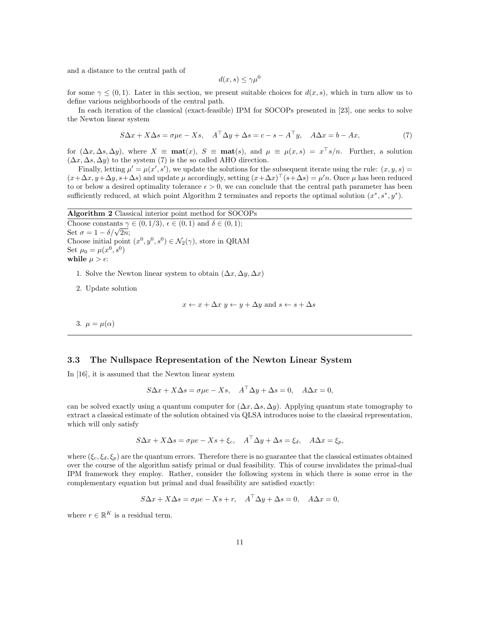and a distance to the central path of

$$
d(x,s) \le \gamma \mu^0
$$

for some  $\gamma \leq (0, 1)$ . Later in this section, we present suitable choices for  $d(x, s)$ , which in turn allow us to define various neighborhoods of the central path.

In each iteration of the classical (exact-feasible) IPM for SOCOPs presented in [23], one seeks to solve the Newton linear system

$$
S\Delta x + X\Delta s = \sigma \mu e - Xs, \quad A^{\top} \Delta y + \Delta s = c - s - A^{\top} y, \quad A \Delta x = b - Ax,\tag{7}
$$

for  $(\Delta x, \Delta s, \Delta y)$ , where  $X \equiv \text{mat}(x)$ ,  $S \equiv \text{mat}(s)$ , and  $\mu \equiv \mu(x, s) = x^{\top} s/n$ . Further, a solution  $(\Delta x, \Delta s, \Delta y)$  to the system (7) is the so called AHO direction.

Finally, letting  $\mu' = \mu(x', s')$ , we update the solutions for the subsequent iterate using the rule:  $(x, y, s)$  $(x + \Delta x, y + \Delta y, s + \Delta s)$  and update  $\mu$  accordingly, setting  $(x + \Delta x)$ <sup>'</sup>  $(s + \Delta s) = \mu' n$ . Once  $\mu$  has been reduced to or below a desired optimality tolerance  $\epsilon > 0$ , we can conclude that the central path parameter has been sufficiently reduced, at which point Algorithm 2 terminates and reports the optimal solution  $(x^*, s^*, y^*)$ .

Algorithm 2 Classical interior point method for SOCOPs Choose constants  $\gamma \in (0,1/3), \, \epsilon \in (0,1)$  and  $\delta \in (0,1);$ Set  $\sigma = 1 - \delta/\sqrt{2n}$ ; Choose initial point  $(x^0, y^0, s^0) \in \mathcal{N}_2(\gamma)$ , store in QRAM Set  $\mu_0 = \mu(x^0, s^0)$ while  $\mu > \epsilon$ :

- 1. Solve the Newton linear system to obtain  $(\Delta x, \Delta y, \Delta x)$
- 2. Update solution

$$
x \leftarrow x + \Delta x \ y \leftarrow y + \Delta y \ \text{and} \ s \leftarrow s + \Delta s
$$

3.  $\mu = \mu(\alpha)$ 

#### 3.3 The Nullspace Representation of the Newton Linear System

In [16], it is assumed that the Newton linear system

$$
S\Delta x + X\Delta s = \sigma \mu e - Xs, \quad A^{\top} \Delta y + \Delta s = 0, \quad A\Delta x = 0,
$$

can be solved exactly using a quantum computer for  $(\Delta x, \Delta s, \Delta y)$ . Applying quantum state tomography to extract a classical estimate of the solution obtained via QLSA introduces noise to the classical representation, which will only satisfy

$$
S\Delta x + X\Delta s = \sigma \mu e - Xs + \xi_c, \quad A^{\top} \Delta y + \Delta s = \xi_d, \quad A\Delta x = \xi_p,
$$

where  $(\xi_c, \xi_d, \xi_p)$  are the quantum errors. Therefore there is no guarantee that the classical estimates obtained over the course of the algorithm satisfy primal or dual feasibility. This of course invalidates the primal-dual IPM framework they employ. Rather, consider the following system in which there is some error in the complementary equation but primal and dual feasibility are satisfied exactly:

$$
S\Delta x + X\Delta s = \sigma \mu e - Xs + r, \quad A^{\perp} \Delta y + \Delta s = 0, \quad A\Delta x = 0,
$$

where  $r \in \mathbb{R}^K$  is a residual term.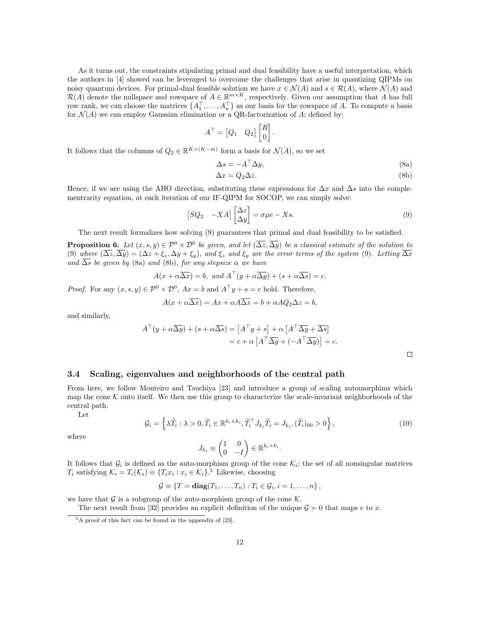As it turns out, the constraints stipulating primal and dual feasibility have a useful interpretation, which the authors in [4] showed can be leveraged to overcome the challenges that arise in quantizing QIPMs on noisy quantum devices. For primal-dual feasible solution we have  $x \in \mathcal{N}(A)$  and  $s \in \mathcal{R}(A)$ , where  $\mathcal{N}(A)$  and  $\mathcal{R}(A)$  denote the nullspace and rowspace of  $A \in \mathbb{R}^{m \times K}$ , respectively. Given our assumption that A has full row rank, we can choose the matrices  $\{A_1^1, \ldots, A_n^1\}$  as our basis for the rowspace of A. To compute a basis for  $\mathcal{N}(A)$  we can employ Gaussian elimination or a QR-factorization of A; defined by:

$$
A^{\top} = \begin{bmatrix} Q_1 & Q_2 \end{bmatrix} \begin{bmatrix} R \\ 0 \end{bmatrix}.
$$

It follows that the columns of  $Q_2 \in \mathbb{R}^{K \times (K-m)}$  form a basis for  $\mathcal{N}(A)$ , so we set

$$
\Delta s = -A^{\top} \Delta y,\tag{8a}
$$

$$
\Delta x = Q_2 \Delta z. \tag{8b}
$$

Hence, if we are using the AHO direction, substituting these expressions for  $\Delta x$  and  $\Delta s$  into the complementrarity equation, at each iteration of our IF-QIPM for SOCOP, we can simply solve:

$$
\begin{bmatrix} SQ_2 & -XA \end{bmatrix} \begin{bmatrix} \Delta z \\ \Delta y \end{bmatrix} = \sigma \mu e - Xs. \tag{9}
$$

The next result formalizes how solving (9) guarantees that primal and dual feasibility to be satisfied.

**Proposition 6.** Let  $(x, s, y) \in \mathcal{P}^0 \times \mathcal{D}^0$  be given, and let  $(\overline{\Delta z}, \overline{\Delta y})$  be a classical estimate of the solution to (9) where  $(\overline{\Delta z}, \overline{\Delta y}) = (\Delta z + \xi_z, \Delta y + \xi_y)$ , and  $\xi_z$  and  $\xi_y$  are the error terms of the system (9). Letting  $\overline{\Delta x}$ and  $\overline{\Delta s}$  be given by (8a) and (8b), for any stepsize  $\alpha$  we have

$$
A(x + \alpha \overline{\Delta x}) = b, \text{ and } A^{\top}(y + \alpha \overline{\Delta y}) + (s + \alpha \overline{\Delta s}) = c.
$$

*Proof.* For any  $(x, s, y) \in \mathcal{P}^0 \times \mathcal{D}^0$ ,  $Ax = b$  and  $A^{\top}y + s = c$  hold. Therefore,

$$
A(x + \alpha \overline{\Delta x}) = Ax + \alpha A \overline{\Delta x} = b + \alpha A Q_2 \Delta z = b,
$$

and similarly,

$$
A^{\top}(y + \alpha \overline{\Delta y}) + (s + \alpha \overline{\Delta s}) = [A^{\top}y + s] + \alpha [A^{\top} \overline{\Delta y} + \overline{\Delta s}]
$$
  
=  $c + \alpha [A^{\top} \overline{\Delta y} + (-A^{\top} \overline{\Delta y})] = c.$ 

 $\Box$ 

#### 3.4 Scaling, eigenvalues and neighborhoods of the central path

From here, we follow Monteiro and Tsuchiya [23] and introduce a group of scaling automorphims which map the cone  $K$  onto itself. We then use this group to characterize the scale-invariant neighborhoods of the central path.

Let

$$
\mathcal{G}_i = \left\{ \lambda \widetilde{T}_i : \lambda > 0, \widetilde{T}_i \in \mathbb{R}^{k_i \times k_i}, \widetilde{T}_i^{\top} J_{k_i} \widetilde{T}_i = J_{k_i}, (\widetilde{T}_i)_{00} > 0 \right\},\tag{10}
$$

where

$$
J_{k_i} \equiv \begin{pmatrix} 1 & 0 \\ 0 & -I \end{pmatrix} \in \mathbb{R}^{k_i \times k_i}.
$$

It follows that  $\mathcal{G}_i$  is defined as the auto-morphism group of the cone  $\mathcal{K}_i$ ; the set of all nonsingular matrices  $T_i$  satisfying  $\mathcal{K}_i = T_i(\mathcal{K}_i) \equiv \{T_i x_i : x_i \in \mathcal{K}_i\}$ .<sup>5</sup> Likewise, choosing

$$
\mathcal{G} \equiv \{T = \mathbf{diag}(T_1, \ldots, T_n) : T_i \in \mathcal{G}_i, i = 1, \ldots, n\},\
$$

we have that  $\mathcal G$  is a subgroup of the auto-morphism group of the cone  $\mathcal K$ .

The next result from [32] provides an explicit definition of the unique  $\mathcal{G} \succ 0$  that maps e to x.

 $5$ A proof of this fact can be found in the appendix of [23].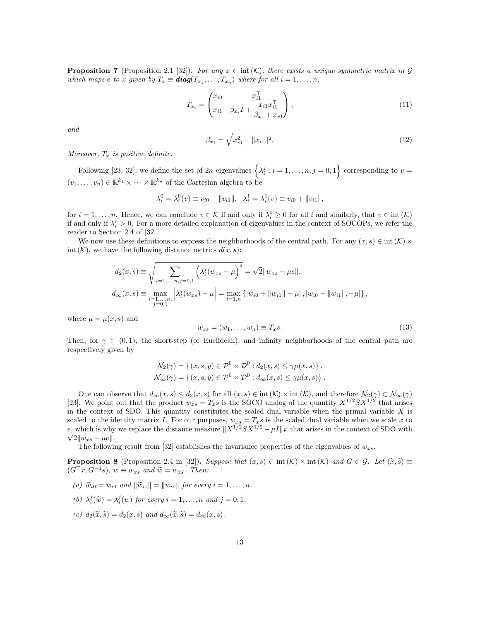**Proposition 7** (Proposition 2.1 [32]). For any  $x \in \text{int}(\mathcal{K})$ , there exists a unique symmetric matrix in G which maps e to x given by  $T_x \equiv diag(T_{x_1},...,T_{x_n})$  where for all  $i = 1,...,n$ ,

$$
T_{x_i} = \begin{pmatrix} x_{i0} & x_{i1}^{\top} \\ x_{i1} & \beta_{x_i} I + \frac{x_{i1} x_{i1}^{\top}}{\beta_{x_i} + x_{i0}} \end{pmatrix},
$$
\n(11)

and

$$
\beta_{x_i} = \sqrt{x_{i0}^2 - ||x_{i1}||^2}.\tag{12}
$$

Moreover,  $T_x$  is positive definite.

Following [23, 32], we define the set of 2n eigenvalues  $\left\{\lambda_i^j : i = 1, \ldots, n, j = 0, 1\right\}$  corresponding to  $v =$  $(v_1, \ldots, v_n) \in \mathbb{R}^{k_1} \times \cdots \times \mathbb{R}^{k_n}$  of the Cartesian algebra to be

$$
\lambda_i^0 = \lambda_i^0(v) \equiv v_{i0} - ||v_{i1}||, \quad \lambda_i^1 = \lambda_i^1(v) \equiv v_{i0} + ||v_{i1}||,
$$

for  $i = 1, \ldots, n$ . Hence, we can conclude  $v \in \mathcal{K}$  if and only if  $\lambda_i^0 \geq 0$  for all i and similarly, that  $v \in \text{int}(\mathcal{K})$ if and only if  $\lambda_i^0 > 0$ . For a more detailed explanation of eigenvalues in the context of SOCOPs, we refer the reader to Section 2.4 of [32].

We now use these definitions to express the neighborhoods of the central path. For any  $(x, s) \in \text{int}(\mathcal{K}) \times$ int  $(K)$ , we have the following distance metrics  $d(x, s)$ :

$$
d_2(x, s) \equiv \sqrt{\sum_{i=1,\dots,n,j=0,1} \left(\lambda_i^j (w_{xs} - \mu)\right)^2} = \sqrt{2} ||w_{xs} - \mu e||.
$$
  

$$
d_\infty(x, s) \equiv \max_{\substack{i=1,\dots,n,\\j=0,1}} \left|\lambda_i^j (w_{xs}) - \mu\right| = \max_{i=1,n} \left\{ |w_{i0} + ||w_{i1}|| - \mu|, |w_{i0} - ||w_{i1}||, -\mu| \right\},
$$

where  $\mu = \mu(x, s)$  and

$$
w_{xs} = (w_1, \dots, w_n) \equiv T_x s. \tag{13}
$$

Then, for  $\gamma \in (0,1)$ , the short-step (or Euclidean), and infinity neighborhoods of the central path are respectively given by

$$
\mathcal{N}_2(\gamma) = \left\{ (x, s, y) \in \mathcal{P}^0 \times \mathcal{D}^0 : d_2(x, s) \leq \gamma \mu(x, s) \right\},\
$$

$$
\mathcal{N}_{\infty}(\gamma) = \left\{ (x, s, y) \in \mathcal{P}^0 \times \mathcal{D}^0 : d_{\infty}(x, s) \leq \gamma \mu(x, s) \right\}.
$$

One can observe that  $d_{\infty}(x, s) \leq d_2(x, s)$  for all  $(x, s) \in \text{int}(\mathcal{K}) \times \text{int}(\mathcal{K})$ , and therefore  $\mathcal{N}_2(\gamma) \subset \mathcal{N}_{\infty}(\gamma)$ [23]. We point out that the product  $w_{xs} = T_xs$  is the SOCO analog of the quantity  $X^{1/2}SX^{1/2}$  that arises in the context of SDO. This quantity constitutes the scaled dual variable when the primal variable  $X$  is scaled to the identity matrix I. For our purposes,  $w_{xs} = T_xs$  is the scaled dual variable when we scale x to e, which is why we replace the distance measure  $||X^{1/2}SX^{1/2} - \mu I||_F$  that arises in the context of SDO with  $\sqrt{2} \| w_{xs} - \mu e \|.$ 

The following result from [32] establishes the invariance properties of the eigenvalues of  $w_{xs}$ .

**Proposition 8** (Proposition 2.4 in [32]). Suppose that  $(x, s) \in \text{int}(\mathcal{K}) \times \text{int}(\mathcal{K})$  and  $G \in \mathcal{G}$ . Let  $(\tilde{x}, \tilde{s}) \equiv$  $(G^{\top}x, G^{-1}s)$ ,  $w \equiv w_{xs}$  and  $\widetilde{w} = w_{\widetilde{xs}}$ . Then:

- (a)  $\widetilde{w}_{i0} = w_{i0}$  and  $\|\widetilde{w}_{i1}\| = \|w_{i1}\|$  for every  $i = 1, ..., n$ .
- (b)  $\lambda_i^j(\tilde{w}) = \lambda_i^j(w)$  for every  $i = 1, ..., n$  and  $j = 0, 1$ .
- (c)  $d_2(\tilde{x}, \tilde{s}) = d_2(x, s)$  and  $d_{\infty}(\tilde{x}, \tilde{s}) = d_{\infty}(x, s)$ .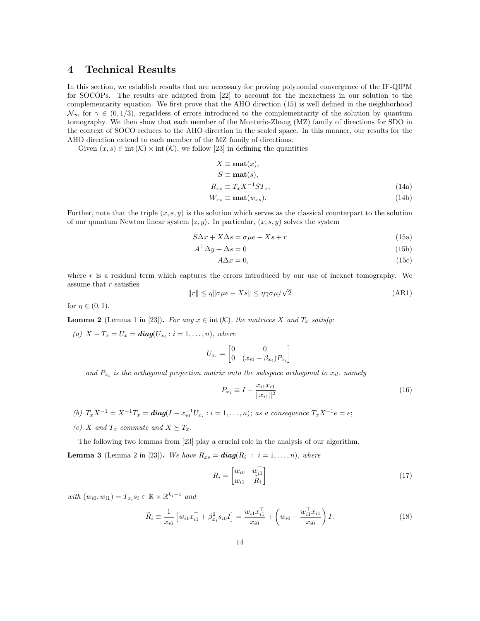# 4 Technical Results

In this section, we establish results that are necessary for proving polynomial convergence of the IF-QIPM for SOCOPs. The results are adapted from [22] to account for the inexactness in our solution to the complementarity equation. We first prove that the AHO direction (15) is well defined in the neighborhood  $\mathcal{N}_{\infty}$  for  $\gamma \in (0,1/3)$ , regardess of errors introduced to the complementarity of the solution by quantum tomography. We then show that each member of the Monterio-Zhang (MZ) family of directions for SDO in the context of SOCO reduces to the AHO direction in the scaled space. In this manner, our results for the AHO direction extend to each member of the MZ family of directions.

Given  $(x, s) \in \text{int}(\mathcal{K}) \times \text{int}(\mathcal{K})$ , we follow [23] in defining the quantities

$$
X \equiv \text{mat}(x),
$$
  
\n
$$
S \equiv \text{mat}(s),
$$
  
\n
$$
R_{xs} \equiv T_x X^{-1} S T_x,
$$
  
\n
$$
W_{xs} \equiv \text{mat}(w_{xs}).
$$
\n(14a)

Further, note that the triple  $(x, s, y)$  is the solution which serves as the classical counterpart to the solution of our quantum Newton linear system  $|z, y\rangle$ . In particular,  $(x, s, y)$  solves the system

$$
S\Delta x + X\Delta s = \sigma \mu e - Xs + r \tag{15a}
$$

$$
A^{\perp} \Delta y + \Delta s = 0 \tag{15b}
$$

$$
A\Delta x = 0,\t(15c)
$$

where  $r$  is a residual term which captures the errors introduced by our use of inexact tomography. We assume that  $r$  satisfies

$$
||r|| \le \eta ||\sigma \mu e - Xs|| \le \eta \gamma \sigma \mu / \sqrt{2}
$$
 (AR1)

for  $\eta \in (0,1)$ .

**Lemma 2** (Lemma 1 in [23]). For any  $x \in \text{int}(\mathcal{K})$ , the matrices X and  $T_x$  satisfy:

(a)  $X - T_x = U_x = diag(U_{x_i} : i = 1, ..., n)$ , where

$$
U_{x_i} = \begin{bmatrix} 0 & 0 \\ 0 & (x_{i0} - \beta_{x_i})P_{x_i} \end{bmatrix}
$$

and  $P_{x_i}$  is the orthogonal projection matrix onto the subspace orthogonal to  $x_{il}$ , namely

$$
P_{x_i} \equiv I - \frac{x_{i1} x_{i1}}{\|x_{i1}\|^2} \tag{16}
$$

(b)  $T_x X^{-1} = X^{-1} T_x = diag(I - x_{i0}^{-1} U_{x_i} : i = 1, ..., n)$ ; as a consequence  $T_x X^{-1} e = e$ ;

(c) X and  $T_x$  commute and  $X \succeq T_x$ .

The following two lemmas from [23] play a crucial role in the analysis of our algorithm.

**Lemma 3** (Lemma 2 in [23]). We have  $R_{xs} = diag(R_i : i = 1, ..., n)$ , where

$$
R_i = \begin{bmatrix} w_{i0} & w_{i1}^{\top} \\ w_{i1} & \tilde{R}_i \end{bmatrix} \tag{17}
$$

with  $(w_{i0}, w_{i1}) = T_{x_i} s_i \in \mathbb{R} \times \mathbb{R}^{k_i-1}$  and

$$
\widetilde{R}_i \equiv \frac{1}{x_{i0}} \left[ w_{i1} x_{i1}^\top + \beta_{x_i}^2 s_{i0} I \right] = \frac{w_{i1} x_{i1}^\top}{x_{i0}} + \left( w_{i0} - \frac{w_{i1}^\top x_{i1}}{x_{i0}} \right) I. \tag{18}
$$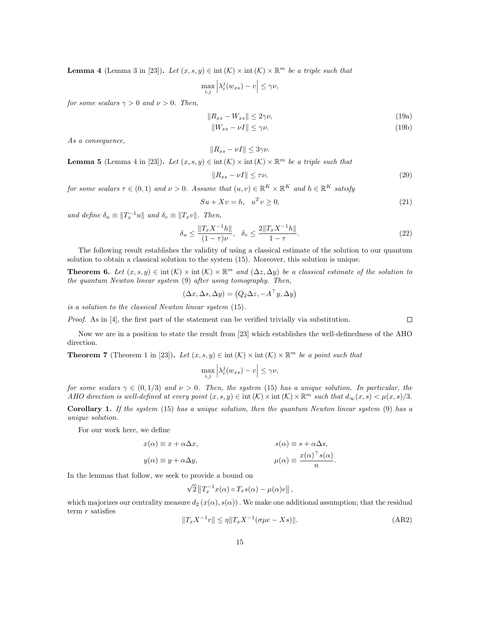**Lemma 4** (Lemma 3 in [23]). Let  $(x, s, y) \in \text{int}(\mathcal{K}) \times \text{int}(\mathcal{K}) \times \mathbb{R}^m$  be a triple such that

$$
\max_{i,j}\left|\lambda_i^j(w_{xs})-v\right|\leq \gamma \nu,
$$

for some scalars  $\gamma > 0$  and  $\nu > 0$ . Then,

$$
||R_{xs} - W_{xs}|| \le 2\gamma\nu,\tag{19a}
$$

$$
||W_{xs} - \nu I|| \le \gamma \nu. \tag{19b}
$$

As a consequence,

$$
||R_{xs} - \nu I|| \le 3\gamma\nu.
$$

**Lemma 5** (Lemma 4 in [23]). Let  $(x, s, y) \in \text{int}(\mathcal{K}) \times \text{int}(\mathcal{K}) \times \mathbb{R}^m$  be a triple such that

$$
||R_{xs} - \nu I|| \le \tau \nu,
$$
\n(20)

for some scalars  $\tau \in (0,1)$  and  $\nu > 0$ . Assume that  $(u, v) \in \mathbb{R}^K \times \mathbb{R}^K$  and  $h \in \mathbb{R}^K$  satisfy

$$
Su + Xv = h, \quad u^T v \ge 0,\tag{21}
$$

and define  $\delta_u \equiv ||T_x^{-1}u||$  and  $\delta_v \equiv ||T_xv||$ . Then,

$$
\delta_u \le \frac{\|T_x X^{-1} h\|}{(1 - \tau)\nu}, \quad \delta_v \le \frac{2\|T_x X^{-1} h\|}{1 - \tau}.
$$
\n(22)

The following result establishes the validity of using a classical estimate of the solution to our quantum solution to obtain a classical solution to the system (15). Moreover, this solution is unique.

**Theorem 6.** Let  $(x, s, y) \in \text{int}(\mathcal{K}) \times \mathbb{R}^m$  and  $(\Delta z, \Delta y)$  be a classical estimate of the solution to the quantum Newton linear system (9) after using tomography. Then,

$$
(\Delta x, \Delta s, \Delta y) = (Q_2 \Delta z, -A^{\top} y, \Delta y)
$$

is a solution to the classical Newton linear system (15).

Proof. As in [4], the first part of the statement can be verified trivially via substitution.

Now we are in a position to state the result from [23] which establishes the well-definedness of the AHO direction.

**Theorem 7** (Theorem 1 in [23]). Let  $(x, s, y) \in \text{int}(\mathcal{K}) \times \text{int}(\mathcal{K}) \times \mathbb{R}^m$  be a point such that

$$
\max_{i,j}\left|\lambda_i^j(w_{xs})-v\right|\leq \gamma \nu,
$$

for some scalars  $\gamma \in (0, 1/3)$  and  $\nu > 0$ . Then, the system (15) has a unique solution. In particular, the AHO direction is well-defined at every point  $(x, s, y) \in \text{int}(\mathcal{K}) \times \text{int}(\mathcal{K}) \times \mathbb{R}^m$  such that  $d_{\infty}(x, s) < \mu(x, s)/3$ .

**Corollary 1.** If the system  $(15)$  has a unique solution, then the quantum Newton linear system  $(9)$  has a unique solution.

For our work here, we define

$$
x(\alpha) \equiv x + \alpha \Delta x, \qquad s(\alpha) \equiv s + \alpha \Delta s, \n y(\alpha) \equiv y + \alpha \Delta y, \qquad \mu(\alpha) \equiv \frac{x(\alpha)^{\top} s(\alpha)}{n}.
$$

In the lemmas that follow, we seek to provide a bound on

$$
\sqrt{2} ||T_x^{-1} x(\alpha) \circ T_x s(\alpha) - \mu(\alpha) e||,
$$

which majorizes our centrality measure  $d_2(x(\alpha), s(\alpha))$ . We make one additional assumption; that the residual term  $r$  satisfies

$$
||T_x X^{-1}r|| \le \eta ||T_x X^{-1} (\sigma \mu e - Xs)||. \tag{AR2}
$$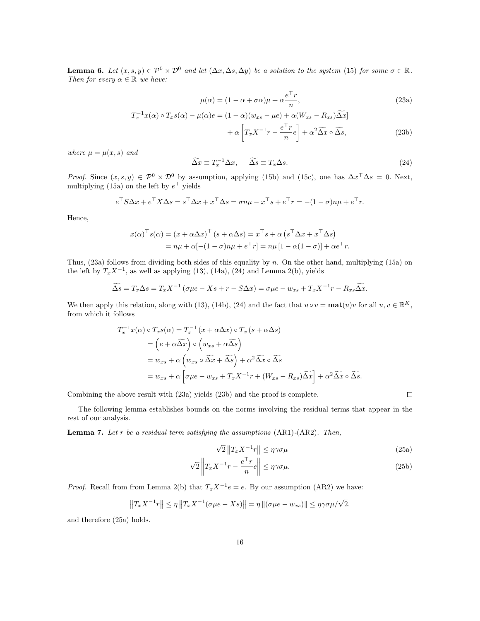**Lemma 6.** Let  $(x, s, y) \in \mathcal{P}^0 \times \mathcal{D}^0$  and let  $(\Delta x, \Delta s, \Delta y)$  be a solution to the system (15) for some  $\sigma \in \mathbb{R}$ . Then for every  $\alpha \in \mathbb{R}$  we have:

$$
\mu(\alpha) = (1 - \alpha + \sigma \alpha)\mu + \alpha \frac{e^{\top}r}{n},
$$
\n(23a)

$$
T_x^{-1}x(\alpha) \circ T_xs(\alpha) - \mu(\alpha)e = (1 - \alpha)(w_{xs} - \mu e) + \alpha(W_{xs} - R_{xs})\widetilde{\Delta x}]
$$

$$
+ \alpha \left[T_x X^{-1}r - \frac{e^{\top}r}{n}e\right] + \alpha^2 \widetilde{\Delta x} \circ \widetilde{\Delta s}, \tag{23b}
$$

where  $\mu = \mu(x, s)$  and

$$
\widetilde{\Delta x} \equiv T_x^{-1} \Delta x, \qquad \widetilde{\Delta s} \equiv T_x \Delta s. \tag{24}
$$

*Proof.* Since  $(x, s, y) \in \mathcal{P}^0 \times \mathcal{D}^0$  by assumption, applying (15b) and (15c), one has  $\Delta x^{\top} \Delta s = 0$ . Next, multiplying (15a) on the left by  $e^+$  yields

$$
e^{\top} S \Delta x + e^{\top} X \Delta s = s^{\top} \Delta x + x^{\top} \Delta s = \sigma n \mu - x^{\top} s + e^{\top} r = -(1 - \sigma) n \mu + e^{\top} r.
$$

Hence,

$$
x(\alpha)^{\top} s(\alpha) = (x + \alpha \Delta x)^{\top} (s + \alpha \Delta s) = x^{\top} s + \alpha (s^{\top} \Delta x + x^{\top} \Delta s)
$$
  
=  $n\mu + \alpha [-(1 - \sigma)n\mu + e^{\top}r] = n\mu [1 - \alpha(1 - \sigma)] + \alpha e^{\top}r.$ 

Thus,  $(23a)$  follows from dividing both sides of this equality by n. On the other hand, multiplying  $(15a)$  on the left by  $T_x X^{-1}$ , as well as applying (13), (14a), (24) and Lemma 2(b), yields

$$
\widetilde{\Delta s} = T_x \Delta s = T_x X^{-1} \left( \sigma \mu e - X s + r - S \Delta x \right) = \sigma \mu e - w_{xs} + T_x X^{-1} r - R_{xs} \widetilde{\Delta x}.
$$

We then apply this relation, along with (13), (14b), (24) and the fact that  $u \circ v = \text{mat}(u)v$  for all  $u, v \in \mathbb{R}^K$ , from which it follows

$$
T_x^{-1}x(\alpha) \circ T_x s(\alpha) = T_x^{-1} (x + \alpha \Delta x) \circ T_x (s + \alpha \Delta s)
$$
  
=  $(e + \alpha \widetilde{\Delta x}) \circ (w_{xs} + \alpha \widetilde{\Delta s})$   
=  $w_{xs} + \alpha (w_{xs} \circ \widetilde{\Delta x} + \widetilde{\Delta s}) + \alpha^2 \widetilde{\Delta x} \circ \widetilde{\Delta s}$   
=  $w_{xs} + \alpha [\sigma \mu e - w_{xs} + T_x X^{-1}r + (W_{xs} - R_{xs})\widetilde{\Delta x}] + \alpha^2 \widetilde{\Delta x} \circ \widetilde{\Delta s}.$ 

Combining the above result with (23a) yields (23b) and the proof is complete.

The following lemma establishes bounds on the norms involving the residual terms that appear in the rest of our analysis.

**Lemma 7.** Let r be a residual term satisfying the assumptions  $(AR1)$ - $(AR2)$ . Then,

$$
\sqrt{2} \|T_x X^{-1} r\| \le \eta \gamma \sigma \mu \tag{25a}
$$

$$
\sqrt{2}\left\|T_x X^{-1} r - \frac{e^\top r}{n} e\right\| \le \eta \gamma \sigma \mu. \tag{25b}
$$

*Proof.* Recall from from Lemma 2(b) that  $T_xX^{-1}e = e$ . By our assumption (AR2) we have:

$$
||T_x X^{-1}r|| \le \eta ||T_x X^{-1}(\sigma \mu e - X s)|| = \eta ||(\sigma \mu e - w_{xs})|| \le \eta \gamma \sigma \mu / \sqrt{2}.
$$

and therefore (25a) holds.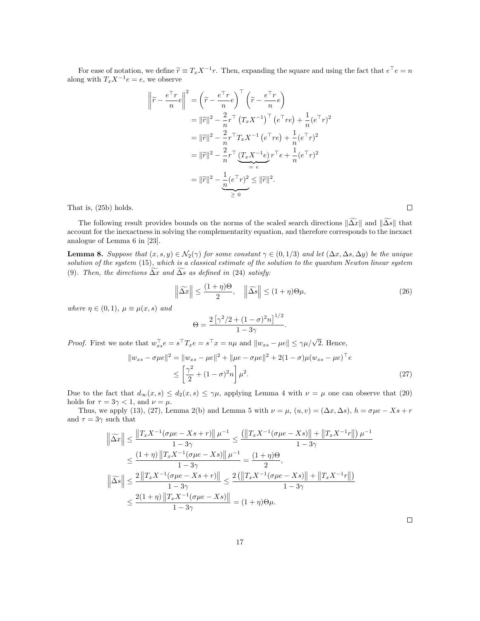For ease of notation, we define  $\widetilde{r} \equiv T_x X^{-1} r$ . Then, expanding the square and using the fact that  $e^{\top} e = n$ along with  $T_xX^{-1}e = e$ , we observe

$$
\left\|\tilde{r} - \frac{e^{\top}r}{n}e\right\|^2 = \left(\tilde{r} - \frac{e^{\top}r}{n}e\right)^{\top} \left(\tilde{r} - \frac{e^{\top}r}{n}e\right)
$$

$$
= \|\tilde{r}\|^2 - \frac{2}{n}r^{\top} \left(T_x X^{-1}\right)^{\top} \left(e^{\top}r e\right) + \frac{1}{n}(e^{\top}r)^2
$$

$$
= \|\tilde{r}\|^2 - \frac{2}{n}r^{\top} T_x X^{-1} \left(e^{\top}r e\right) + \frac{1}{n}(e^{\top}r)^2
$$

$$
= \|\tilde{r}\|^2 - \frac{2}{n}r^{\top} \underbrace{(T_x X^{-1}e)}_{= e} r^{\top}e + \frac{1}{n}(e^{\top}r)^2
$$

$$
= \|\tilde{r}\|^2 - \frac{1}{n}(e^{\top}r)^2 \le \|\tilde{r}\|^2.
$$

That is, (25b) holds.

The following result provides bounds on the norms of the scaled search directions  $\|\widetilde{\Delta x}\|$  and  $\|\widetilde{\Delta s}\|$  that account for the inexactness in solving the complementarity equation, and therefore corresponds to the inexact analogue of Lemma 6 in [23].

**Lemma 8.** Suppose that  $(x, s, y) \in \mathcal{N}_2(\gamma)$  for some constant  $\gamma \in (0, 1/3)$  and let  $(\Delta x, \Delta s, \Delta y)$  be the unique solution of the system (15), which is a classical estimate of the solution to the quantum Newton linear system (9). Then, the directions  $\widetilde{\Delta x}$  and  $\widetilde{\Delta s}$  as defined in (24) satisfy:

$$
\left\|\widetilde{\Delta x}\right\| \le \frac{(1+\eta)\Theta}{2}, \quad \left\|\widetilde{\Delta s}\right\| \le (1+\eta)\Theta\mu,\tag{26}
$$

.

where  $\eta \in (0,1)$ ,  $\mu \equiv \mu(x,s)$  and

$$
\Theta = \frac{2\left[\gamma^2/2 + (1-\sigma)^2 n\right]^{1/2}}{1-3\gamma}
$$

*Proof.* First we note that  $w_{xs}^{\top}e = s^{\top}T_xe = s^{\top}x = n\mu$  and  $||w_{xs} - \mu e|| \leq \gamma \mu/\sqrt{2}$ . Hence,

$$
||w_{xs} - \sigma \mu e||^2 = ||w_{xs} - \mu e||^2 + ||\mu e - \sigma \mu e||^2 + 2(1 - \sigma)\mu (w_{xs} - \mu e)^\top e
$$
  
 
$$
\leq \left[\frac{\gamma^2}{2} + (1 - \sigma)^2 n\right] \mu^2.
$$
 (27)

Due to the fact that  $d_{\infty}(x, s) \leq d_2(x, s) \leq \gamma \mu$ , applying Lemma 4 with  $\nu = \mu$  one can observe that (20) holds for  $\tau = 3\gamma < 1$ , and  $\nu = \mu$ .

Thus, we apply (13), (27), Lemma 2(b) and Lemma 5 with  $\nu = \mu$ ,  $(u, v) = (\Delta x, \Delta s)$ ,  $h = \sigma \mu e - Xs + r$ and  $\tau = 3\gamma$  such that

$$
\left\| \widetilde{\Delta x} \right\| \le \frac{\left\| T_x X^{-1} (\sigma \mu e - X s + r) \right\| \mu^{-1}}{1 - 3\gamma} \le \frac{\left( \left\| T_x X^{-1} (\sigma \mu e - X s) \right\| + \left\| T_x X^{-1} r \right\| \right) \mu^{-1}}{1 - 3\gamma}
$$
  

$$
\le \frac{(1 + \eta) \left\| T_x X^{-1} (\sigma \mu e - X s) \right\| \mu^{-1}}{1 - 3\gamma} = \frac{(1 + \eta) \Theta}{2},
$$
  

$$
\left\| \widetilde{\Delta s} \right\| \le \frac{2 \left\| T_x X^{-1} (\sigma \mu e - X s + r) \right\|}{1 - 3\gamma} \le \frac{2 \left( \left\| T_x X^{-1} (\sigma \mu e - X s) \right\| + \left\| T_x X^{-1} r \right\| \right)}{1 - 3\gamma}
$$
  

$$
\le \frac{2(1 + \eta) \left\| T_x X^{-1} (\sigma \mu e - X s) \right\|}{1 - 3\gamma} = (1 + \eta) \Theta \mu.
$$

 $\Box$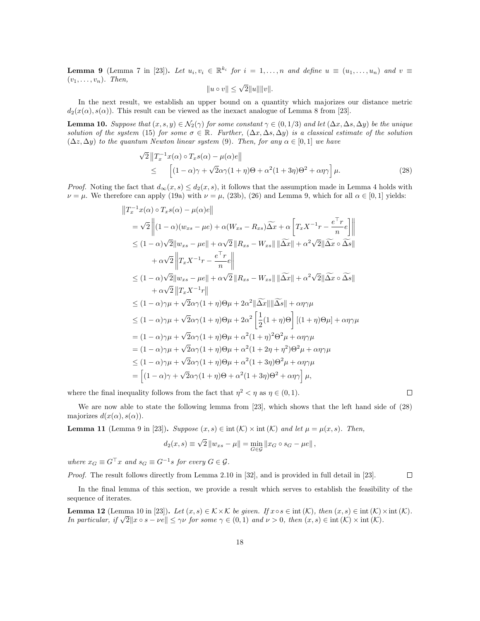**Lemma 9** (Lemma 7 in [23]). Let  $u_i, v_i \in \mathbb{R}^{k_i}$  for  $i = 1, ..., n$  and define  $u \equiv (u_1, ..., u_n)$  and  $v \equiv$  $(v_1, \ldots, v_n)$ . Then,

$$
||u \circ v|| \leq \sqrt{2}||u|| ||v||.
$$

In the next result, we establish an upper bound on a quantity which majorizes our distance metric  $d_2(x(\alpha), s(\alpha))$ . This result can be viewed as the inexact analogue of Lemma 8 from [23].

**Lemma 10.** Suppose that  $(x, s, y) \in \mathcal{N}_2(\gamma)$  for some constant  $\gamma \in (0, 1/3)$  and let  $(\Delta x, \Delta s, \Delta y)$  be the unique solution of the system (15) for some  $\sigma \in \mathbb{R}$ . Further,  $(\Delta x, \Delta s, \Delta y)$  is a classical estimate of the solution  $(\Delta z, \Delta y)$  to the quantum Newton linear system (9). Then, for any  $\alpha \in [0,1]$  we have

$$
\sqrt{2} \|T_x^{-1} x(\alpha) \circ T_x s(\alpha) - \mu(\alpha) e\|
$$
  
\n
$$
\leq \left[ (1 - \alpha)\gamma + \sqrt{2}\alpha\gamma(1 + \eta)\Theta + \alpha^2(1 + 3\eta)\Theta^2 + \alpha\eta\gamma \right] \mu.
$$
 (28)

*Proof.* Noting the fact that  $d_{\infty}(x, s) \leq d_2(x, s)$ , it follows that the assumption made in Lemma 4 holds with  $\nu = \mu$ . We therefore can apply (19a) with  $\nu = \mu$ , (23b), (26) and Lemma 9, which for all  $\alpha \in [0, 1]$  yields:

$$
||T_x^{-1}x(\alpha) \circ T_x s(\alpha) - \mu(\alpha)e||
$$
  
\n
$$
= \sqrt{2} ||(1 - \alpha)(w_{xs} - \mu e) + \alpha(W_{xs} - R_{xs})\widetilde{\Delta x} + \alpha \left[T_x X^{-1}r - \frac{e^\top r}{n}e\right] ||
$$
  
\n
$$
\leq (1 - \alpha)\sqrt{2}||w_{xs} - \mu e|| + \alpha\sqrt{2} ||R_{xs} - W_{xs}|| ||\widetilde{\Delta x}|| + \alpha^2\sqrt{2}||\widetilde{\Delta x} \circ \widetilde{\Delta s}||
$$
  
\n
$$
+ \alpha\sqrt{2} ||T_x X^{-1}r - \frac{e^\top r}{n}e||
$$
  
\n
$$
\leq (1 - \alpha)\sqrt{2}||w_{xs} - \mu e|| + \alpha\sqrt{2} ||R_{xs} - W_{xs}|| ||\widetilde{\Delta x}|| + \alpha^2\sqrt{2}||\widetilde{\Delta x} \circ \widetilde{\Delta s}||
$$
  
\n
$$
+ \alpha\sqrt{2} ||T_x X^{-1}r||
$$
  
\n
$$
\leq (1 - \alpha)\gamma\mu + \sqrt{2}\alpha\gamma(1 + \eta)\Theta\mu + 2\alpha^2 ||\widetilde{\Delta x}|| ||\widetilde{\Delta s}|| + \alpha\eta\gamma\mu
$$
  
\n
$$
\leq (1 - \alpha)\gamma\mu + \sqrt{2}\alpha\gamma(1 + \eta)\Theta\mu + 2\alpha^2 \left[\frac{1}{2}(1 + \eta)\Theta\right] [(1 + \eta)\Theta\mu] + \alpha\eta\gamma\mu
$$
  
\n
$$
= (1 - \alpha)\gamma\mu + \sqrt{2}\alpha\gamma(1 + \eta)\Theta\mu + \alpha^2(1 + \eta)^2\Theta^2\mu + \alpha\eta\gamma\mu
$$
  
\n
$$
= (1 - \alpha)\gamma\mu + \sqrt{2}\alpha\gamma(1 + \eta)\Theta\mu + \alpha^2(1 + 2\eta + \eta^2)\Theta^2\mu + \alpha\eta\gamma\mu
$$
  
\n
$$
\leq (1 - \alpha)\gamma\mu + \sqrt{2}\alpha\gamma(1 + \eta)\Theta\mu + \alpha^2(1 + 3\eta)\Theta^2\mu + \alpha\eta\gamma\mu
$$
  
\n
$$
= \left[ (1 - \alpha)\gamma + \sqrt{
$$

where the final inequality follows from the fact that  $\eta^2 < \eta$  as  $\eta \in (0,1)$ .

$$
\qquad \qquad \Box
$$

We are now able to state the following lemma from [23], which shows that the left hand side of (28) majorizes  $d(x(\alpha), s(\alpha))$ .

**Lemma 11** (Lemma 9 in [23]). Suppose  $(x, s) \in \text{int } (\mathcal{K}) \times \text{int } (\mathcal{K})$  and let  $\mu = \mu(x, s)$ . Then,

$$
d_2(x, s) \equiv \sqrt{2} ||w_{xs} - \mu|| = \min_{G \in \mathcal{G}} ||x_G \circ s_G - \mu e||,
$$

where  $x_G \equiv G^\top x$  and  $s_G \equiv G^{-1}s$  for every  $G \in \mathcal{G}$ .

Proof. The result follows directly from Lemma 2.10 in [32], and is provided in full detail in [23].  $\Box$ 

In the final lemma of this section, we provide a result which serves to establish the feasibility of the sequence of iterates.

**Lemma 12** (Lemma 10 in [23]). Let  $(x, s) \in K \times K$  be given. If  $x \circ s \in \text{int } (K)$ , then  $(x, s) \in \text{int } (K) \times \text{int } (K)$ . In particular, if  $\sqrt{2}||x \circ s - ve|| \leq \gamma \nu$  for some  $\gamma \in (0, 1)$  and  $\nu > 0$ , then  $(x, s) \in \text{int } (\mathcal{K}) \times \text{int } (\mathcal{K})$ .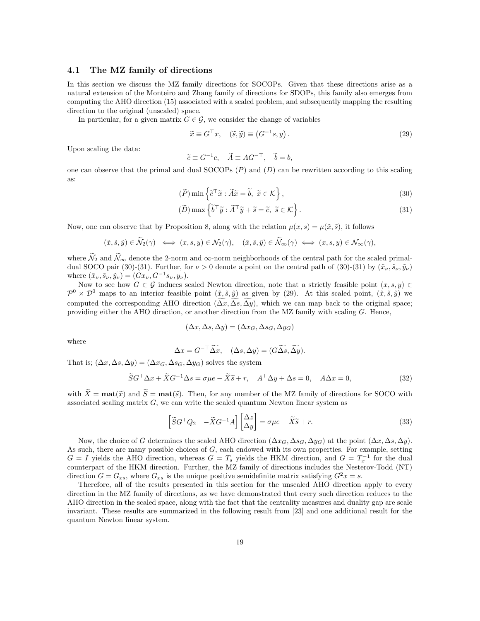#### 4.1 The MZ family of directions

In this section we discuss the MZ family directions for SOCOPs. Given that these directions arise as a natural extension of the Monteiro and Zhang family of directions for SDOPs, this family also emerges from computing the AHO direction (15) associated with a scaled problem, and subsequently mapping the resulting direction to the original (unscaled) space.

In particular, for a given matrix  $G \in \mathcal{G}$ , we consider the change of variables

$$
\widetilde{x} \equiv G^{\top} x, \quad (\widetilde{s}, \widetilde{y}) \equiv (G^{-1} s, y). \tag{29}
$$

Upon scaling the data:

$$
\widetilde{c} \equiv G^{-1}c, \quad \widetilde{A} \equiv A G^{-\top}, \quad \widetilde{b} = b,
$$

one can observe that the primal and dual  $SOCOPs$  (P) and (D) can be rewritten according to this scaling as:

$$
(\widetilde{P})\min\left\{\widetilde{c}^\top\widetilde{x}:\widetilde{A}\widetilde{x}=\widetilde{b},\ \widetilde{x}\in\mathcal{K}\right\},\tag{30}
$$

$$
(\widetilde{D}) \max \left\{ \widetilde{b}^{\top} \widetilde{y} : \widetilde{A}^{\top} \widetilde{y} + \widetilde{s} = \widetilde{c}, \ \widetilde{s} \in \mathcal{K} \right\}.
$$
\n(31)

Now, one can observe that by Proposition 8, along with the relation  $\mu(x, s) = \mu(\tilde{x}, \tilde{s})$ , it follows

$$
(\tilde{x}, \tilde{s}, \tilde{y}) \in \tilde{\mathcal{N}}_2(\gamma) \iff (x, s, y) \in \mathcal{N}_2(\gamma), \quad (\tilde{x}, \tilde{s}, \tilde{y}) \in \tilde{\mathcal{N}}_\infty(\gamma) \iff (x, s, y) \in \mathcal{N}_\infty(\gamma),
$$

where  $\tilde{\mathcal{N}}_2$  and  $\tilde{\mathcal{N}}_{\infty}$  denote the 2-norm and  $\infty$ -norm neighborhoods of the central path for the scaled primaldual SOCO pair (30)-(31). Further, for  $\nu > 0$  denote a point on the central path of (30)-(31) by  $(\tilde{x}_{\nu}, \tilde{s}_{\nu}, \tilde{y}_{\nu})$ where  $(\tilde{x}_{\nu}, \tilde{s}_{\nu}, \tilde{y}_{\nu}) = (Gx_{\nu}, G^{-1}s_{\nu}, y_{\nu}).$ 

Now to see how  $G \in \mathcal{G}$  induces scaled Newton direction, note that a strictly feasible point  $(x, s, y) \in$  $\mathcal{P}^0 \times \mathcal{D}^0$  maps to an interior feasible point  $(\tilde{x}, \tilde{s}, \tilde{y})$  as given by (29). At this scaled point,  $(\tilde{x}, \tilde{s}, \tilde{y})$  we computed the corresponding AHO direction ( $\Delta x, \Delta s, \Delta y$ ), which we can map back to the original space; providing either the AHO direction, or another direction from the MZ family with scaling G. Hence,

$$
(\Delta x, \Delta s, \Delta y) = (\Delta x_G, \Delta s_G, \Delta y_G)
$$

where

$$
\Delta x = G^{-\top} \widetilde{\Delta x}, \quad (\Delta s, \Delta y) = (G \widetilde{\Delta s}, \widetilde{\Delta y}).
$$

That is;  $(\Delta x, \Delta s, \Delta y) = (\Delta x_G, \Delta s_G, \Delta y_G)$  solves the system

$$
\widetilde{S}G^{\top}\Delta x + \widetilde{X}G^{-1}\Delta s = \sigma\mu e - \widetilde{X}\widetilde{s} + r, \quad A^{\top}\Delta y + \Delta s = 0, \quad A\Delta x = 0,
$$
\n(32)

with  $\widetilde{X} = \textbf{mat}(\widetilde{x})$  and  $\widetilde{S} = \textbf{mat}(\widetilde{s})$ . Then, for any member of the MZ family of directions for SOCO with associated scaling matrix  $G$ , we can write the scaled quantum Newton linear system as

$$
\begin{bmatrix} \widetilde{S}G^{\top}Q_2 & -\widetilde{X}G^{-1}A \end{bmatrix} \begin{bmatrix} \Delta z \\ \Delta y \end{bmatrix} = \sigma \mu e - \widetilde{X}\widetilde{s} + r. \tag{33}
$$

Now, the choice of G determines the scaled AHO direction  $(\Delta x_G, \Delta s_G, \Delta y_G)$  at the point  $(\Delta x, \Delta s, \Delta y)$ . As such, there are many possible choices of  $G$ , each endowed with its own properties. For example, setting  $G = I$  yields the AHO direction, whereas  $G = T_s$  yields the HKM direction, and  $G = T_x^{-1}$  for the dual counterpart of the HKM direction. Further, the MZ family of directions includes the Nesterov-Todd (NT) direction  $G = G_{xs}$ , where  $G_{xs}$  is the unique positive semidefinite matrix satisfying  $G^2x = s$ .

Therefore, all of the results presented in this section for the unscaled AHO direction apply to every direction in the MZ family of directions, as we have demonstrated that every such direction reduces to the AHO direction in the scaled space, along with the fact that the centrality measures and duality gap are scale invariant. These results are summarized in the following result from [23] and one additional result for the quantum Newton linear system.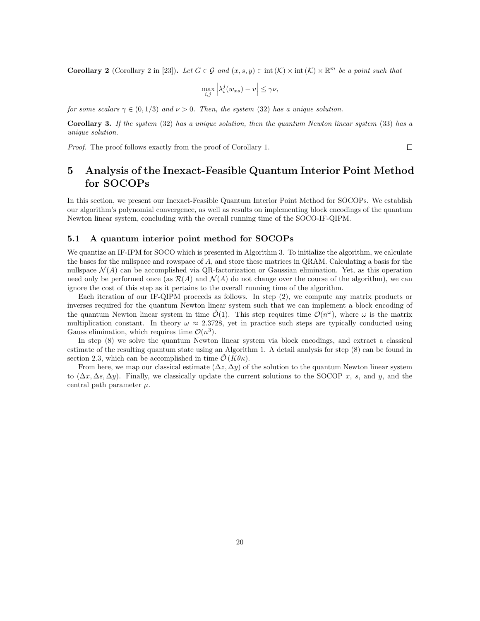**Corollary 2** (Corollary 2 in [23]). Let  $G \in \mathcal{G}$  and  $(x, s, y) \in \text{int}(\mathcal{K}) \times \text{int}(\mathcal{K}) \times \mathbb{R}^m$  be a point such that

$$
\max_{i,j} \left| \lambda_i^j(w_{xs}) - v \right| \le \gamma \nu,
$$

for some scalars  $\gamma \in (0, 1/3)$  and  $\nu > 0$ . Then, the system (32) has a unique solution.

Corollary 3. If the system (32) has a unique solution, then the quantum Newton linear system (33) has a unique solution.

Proof. The proof follows exactly from the proof of Corollary 1.

 $\Box$ 

# 5 Analysis of the Inexact-Feasible Quantum Interior Point Method for SOCOPs

In this section, we present our Inexact-Feasible Quantum Interior Point Method for SOCOPs. We establish our algorithm's polynomial convergence, as well as results on implementing block encodings of the quantum Newton linear system, concluding with the overall running time of the SOCO-IF-QIPM.

### 5.1 A quantum interior point method for SOCOPs

We quantize an IF-IPM for SOCO which is presented in Algorithm 3. To initialize the algorithm, we calculate the bases for the nullspace and rowspace of A, and store these matrices in QRAM. Calculating a basis for the nullspace  $\mathcal{N}(A)$  can be accomplished via QR-factorization or Gaussian elimination. Yet, as this operation need only be performed once (as  $\mathcal{R}(A)$  and  $\mathcal{N}(A)$  do not change over the course of the algorithm), we can ignore the cost of this step as it pertains to the overall running time of the algorithm.

Each iteration of our IF-QIPM proceeds as follows. In step (2), we compute any matrix products or inverses required for the quantum Newton linear system such that we can implement a block encoding of the quantum Newton linear system in time  $\tilde{\mathcal{O}}(1)$ . This step requires time  $\mathcal{O}(n^{\omega})$ , where  $\omega$  is the matrix multiplication constant. In theory  $\omega \approx 2.3728$ , yet in practice such steps are typically conducted using Gauss elimination, which requires time  $\mathcal{O}(n^3)$ .

In step (8) we solve the quantum Newton linear system via block encodings, and extract a classical estimate of the resulting quantum state using an Algorithm 1. A detail analysis for step (8) can be found in section 2.3, which can be accomplished in time  $\mathcal{O}(K\theta\kappa)$ .

From here, we map our classical estimate  $(\Delta z, \Delta y)$  of the solution to the quantum Newton linear system to  $(\Delta x, \Delta s, \Delta y)$ . Finally, we classically update the current solutions to the SOCOP x, s, and y, and the central path parameter  $\mu$ .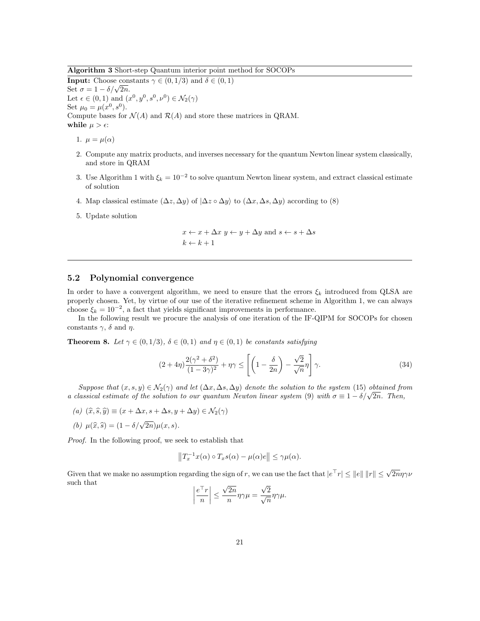Algorithm 3 Short-step Quantum interior point method for SOCOPs

**Input:** Choose constants  $\gamma \in (0, 1/3)$  and  $\delta \in (0, 1)$ Set  $\sigma = 1 - \delta/\sqrt{2n}$ . Let  $\epsilon \in (0,1)$  and  $(x^0, y^0, s^0, \nu^0) \in \mathcal{N}_2(\gamma)$ Set  $\mu_0 = \mu(x^0, s^0)$ . Compute bases for  $\mathcal{N}(A)$  and  $\mathcal{R}(A)$  and store these matrices in QRAM. while  $\mu > \epsilon$ :

1.  $\mu = \mu(\alpha)$ 

- 2. Compute any matrix products, and inverses necessary for the quantum Newton linear system classically, and store in QRAM
- 3. Use Algorithm 1 with  $\xi_k = 10^{-2}$  to solve quantum Newton linear system, and extract classical estimate of solution
- 4. Map classical estimate  $(\Delta z, \Delta y)$  of  $|\Delta z \circ \Delta y\rangle$  to  $(\Delta x, \Delta s, \Delta y)$  according to (8)
- 5. Update solution

$$
x \leftarrow x + \Delta x \ y \leftarrow y + \Delta y \text{ and } s \leftarrow s + \Delta s
$$

$$
k \leftarrow k + 1
$$

#### 5.2 Polynomial convergence

In order to have a convergent algorithm, we need to ensure that the errors  $\xi_k$  introduced from QLSA are properly chosen. Yet, by virtue of our use of the iterative refinement scheme in Algorithm 1, we can always choose  $\xi_k = 10^{-2}$ , a fact that yields significant improvements in performance.

In the following result we procure the analysis of one iteration of the IF-QIPM for SOCOPs for chosen constants  $\gamma$ ,  $\delta$  and  $\eta$ .

**Theorem 8.** Let  $\gamma \in (0,1/3)$ ,  $\delta \in (0,1)$  and  $\eta \in (0,1)$  be constants satisfying

$$
(2+4\eta)\frac{2(\gamma^2+\delta^2)}{(1-3\gamma)^2}+\eta\gamma\leq \left[\left(1-\frac{\delta}{2n}\right)-\frac{\sqrt{2}}{\sqrt{n}}\eta\right]\gamma.
$$
 (34)

Suppose that  $(x, s, y) \in \mathcal{N}_2(\gamma)$  and let  $(\Delta x, \Delta s, \Delta y)$  denote the solution to the system (15) obtained from a classical estimate of the solution to our quantum Newton linear system (9) with  $\sigma \equiv 1 - \delta/\sqrt{2n}$ . Then,

- (a)  $(\widehat{x}, \widehat{s}, \widehat{y}) \equiv (x + \Delta x, s + \Delta s, y + \Delta y) \in \mathcal{N}_2(\gamma)$
- (b)  $\mu(\hat{x}, \hat{s}) = (1 \delta/\sqrt{2n})\mu(x, s).$

Proof. In the following proof, we seek to establish that

$$
||T_x^{-1}x(\alpha) \circ T_x s(\alpha) - \mu(\alpha)e|| \leq \gamma \mu(\alpha).
$$

Given that we make no assumption regarding the sign of r, we can use the fact that  $|e^{\top}r| \leq ||e|| \, ||r|| \leq \sqrt{2n}\eta\gamma\nu$ such that

$$
\left|\frac{e^\top r}{n}\right| \leq \frac{\sqrt{2n}}{n} \eta \gamma \mu = \frac{\sqrt{2}}{\sqrt{n}} \eta \gamma \mu.
$$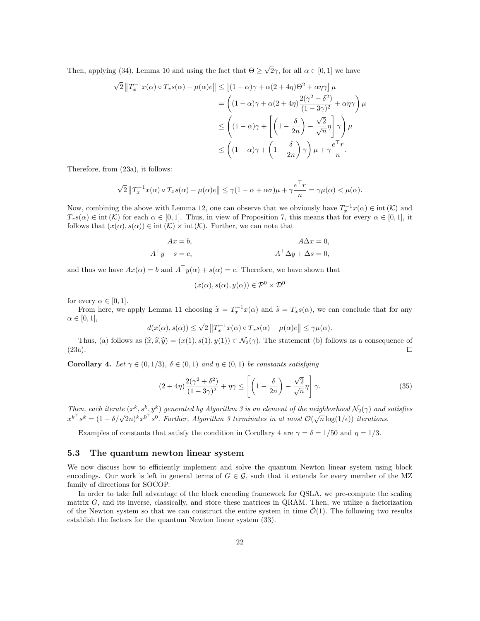Then, applying (34), Lemma 10 and using the fact that  $\Theta \geq \sqrt{2}\gamma$ , for all  $\alpha \in [0,1]$  we have

$$
\sqrt{2} \|T_x^{-1}x(\alpha) \circ T_xs(\alpha) - \mu(\alpha)e\| \le [(1-\alpha)\gamma + \alpha(2+4\eta)\Theta^2 + \alpha\eta\gamma] \mu
$$
  
= 
$$
\left((1-\alpha)\gamma + \alpha(2+4\eta)\frac{2(\gamma^2+\delta^2)}{(1-3\gamma)^2} + \alpha\eta\gamma\right)\mu
$$
  

$$
\le \left((1-\alpha)\gamma + \left[\left(1-\frac{\delta}{2n}\right) - \frac{\sqrt{2}}{\sqrt{n}}\eta\right]\gamma\right)\mu
$$
  

$$
\le \left((1-\alpha)\gamma + \left(1-\frac{\delta}{2n}\right)\gamma\right)\mu + \gamma\frac{e^\top r}{n}.
$$

Therefore, from (23a), it follows:

$$
\sqrt{2}\left\|T_x^{-1}x(\alpha)\circ T_xs(\alpha)-\mu(\alpha)e\right\|\leq \gamma(1-\alpha+\alpha\sigma)\mu+\gamma\frac{e^\top r}{n}=\gamma\mu(\alpha)<\mu(\alpha).
$$

Now, combining the above with Lemma 12, one can observe that we obviously have  $T_x^{-1}x(\alpha) \in \text{int}(\mathcal{K})$  and  $T_x s(\alpha) \in \text{int }(\mathcal{K})$  for each  $\alpha \in [0,1]$ . Thus, in view of Proposition 7, this means that for every  $\alpha \in [0,1]$ , it follows that  $(x(\alpha), s(\alpha)) \in \text{int}(\mathcal{K}) \times \text{int}(\mathcal{K})$ . Further, we can note that

$$
Ax = b,
$$
  
\n
$$
A^{\top}y + s = c,
$$
  
\n
$$
A^{\top}\Delta y + \Delta s = 0,
$$
  
\n
$$
A^{\top}\Delta y + \Delta s = 0,
$$

and thus we have  $Ax(\alpha) = b$  and  $A^{\top}y(\alpha) + s(\alpha) = c$ . Therefore, we have shown that

$$
(x(\alpha), s(\alpha), y(\alpha)) \in \mathcal{P}^0 \times \mathcal{D}^0
$$

for every  $\alpha \in [0,1]$ .

From here, we apply Lemma 11 choosing  $\tilde{x} = T_x^{-1}x(\alpha)$  and  $\tilde{s} = T_xs(\alpha)$ , we can conclude that for any  $\alpha \in [0,1],$ 

$$
d(x(\alpha), s(\alpha)) \le \sqrt{2} \|T_x^{-1} x(\alpha) \circ T_x s(\alpha) - \mu(\alpha) e\| \le \gamma \mu(\alpha).
$$

Thus, (a) follows as  $(\hat{x}, \hat{s}, \hat{y}) = (x(1), s(1), y(1)) \in \mathcal{N}_2(\gamma)$ . The statement (b) follows as a consequence of a). (23a).

Corollary 4. Let  $\gamma \in (0,1/3)$ ,  $\delta \in (0,1)$  and  $\eta \in (0,1)$  be constants satisfying

$$
(2+4\eta)\frac{2(\gamma^2+\delta^2)}{(1-3\gamma)^2}+\eta\gamma\leq \left[\left(1-\frac{\delta}{2n}\right)-\frac{\sqrt{2}}{\sqrt{n}}\eta\right]\gamma.
$$
\n(35)

Then, each iterate  $(x^k, s^k, y^k)$  generated by Algorithm 3 is an element of the neighborhood  $\mathcal{N}_2(\gamma)$  and satisfies  $x^{k^{\top}} s^k = (1 - \delta/\sqrt{2n})^k x^{0^{\top}} s^0$ . Further, Algorithm 3 terminates in at most  $\mathcal{O}(\sqrt{n} \log(1/\epsilon))$  iterations.

Examples of constants that satisfy the condition in Corollary 4 are  $\gamma = \delta = 1/50$  and  $\eta = 1/3$ .

#### 5.3 The quantum newton linear system

We now discuss how to efficiently implement and solve the quantum Newton linear system using block encodings. Our work is left in general terms of  $G \in \mathcal{G}$ , such that it extends for every member of the MZ family of directions for SOCOP.

In order to take full advantage of the block encoding framework for QSLA, we pre-compute the scaling matrix  $G$ , and its inverse, classically, and store these matrices in QRAM. Then, we utilize a factorization of the Newton system so that we can construct the entire system in time  $\mathcal{O}(1)$ . The following two results establish the factors for the quantum Newton linear system (33).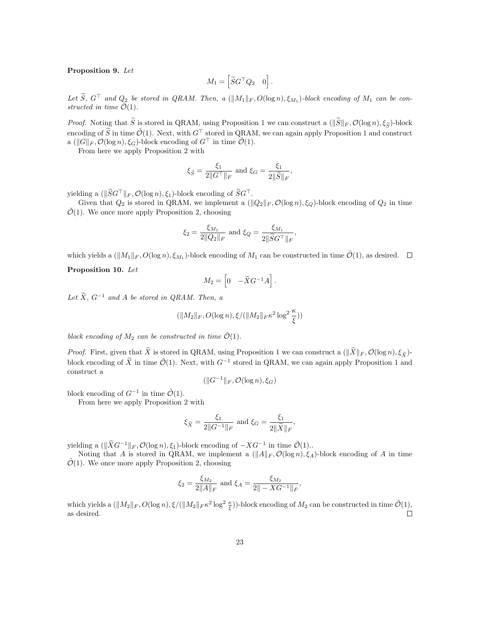#### Proposition 9. Let

$$
M_1 = \begin{bmatrix} \widetilde{S}G^\top Q_2 & 0 \end{bmatrix}.
$$

Let S,  $G^{\perp}$  and  $Q_2$  be stored in QRAM. Then, a  $(\|M_1\|_F, O(\log n), \xi_{M_1})$ -block encoding of  $M_1$  can be constructed in time  $\tilde{\mathcal{O}}(1)$ .

*Proof.* Noting that  $\widetilde{S}$  is stored in QRAM, using Proposition 1 we can construct a  $(\|\widetilde{S}\|_F, \mathcal{O}(\log n), \xi_{\widetilde{S}})$ -block encoding of  $\tilde{S}$  in time  $\tilde{O}(1)$ . Next, with  $G^{\top}$  stored in QRAM, we can again apply Proposition 1 and construct a  $(\|G\|_F, \mathcal{O}(\log n), \xi_G)$ -block encoding of  $G^{\top}$  in time  $\tilde{\mathcal{O}}(1)$ .

From here we apply Proposition 2 with

$$
\xi_{\widetilde{S}} = \frac{\xi_1}{2\|\widetilde{G}^\top\|_F} \text{ and } \xi_G = \frac{\xi_1}{2\|\widetilde{S}\|_F},
$$

yielding a  $(\|\widetilde{S}G^{\top}\|_F, \mathcal{O}(\log n), \xi_1)$ -block encoding of  $\widetilde{S}G^{\top}$ .

Given that  $Q_2$  is stored in QRAM, we implement a  $(\|Q_2\|_F, \mathcal{O}(\log n), \xi_Q)$ -block encoding of  $Q_2$  in time  $\mathcal{O}(1)$ . We once more apply Proposition 2, choosing

$$
\xi_2 = \frac{\xi_{M_1}}{2\|Q_2\|_F} \text{ and } \xi_Q = \frac{\xi_{M_1}}{2\|\widetilde{S}G^\top\|_F},
$$

which yields a  $(\|M_1\|_F, O(\log n), \xi_{M_1})$ -block encoding of  $M_1$  can be constructed in time  $\tilde{O}(1)$ , as desired.

#### Proposition 10. Let

$$
M_2 = \begin{bmatrix} 0 & -\widetilde{X}G^{-1}A \end{bmatrix}.
$$

Let  $\widetilde{X}$ ,  $G^{-1}$  and A be stored in QRAM. Then, a

$$
(\|M_2\|_F, O(\log n), \xi/(\|M_2\|_F\kappa^2\log^2\frac{\kappa}{\xi}))
$$

block encoding of  $M_2$  can be constructed in time  $\tilde{\mathcal{O}}(1)$ .

*Proof.* First, given that  $\widetilde{X}$  is stored in QRAM, using Proposition 1 we can construct a  $(\|\widetilde{X}\|_F, \mathcal{O}(\log n), \xi_{\widetilde{X}})$ block encoding of  $\tilde{X}$  in time  $\tilde{\mathcal{O}}(1)$ . Next, with  $G^{-1}$  stored in QRAM, we can again apply Proposition 1 and construct a

$$
(\|G^{-1}\|_F, \mathcal{O}(\log n), \xi_G)
$$

block encoding of  $G^{-1}$  in time  $\tilde{\mathcal{O}}(1)$ .

From here we apply Proposition 2 with

$$
\xi_{\widetilde{X}} = \frac{\xi_1}{2\|G^{-1}\|_F}
$$
 and  $\xi_G = \frac{\xi_1}{2\|\widetilde{X}\|_F}$ ,

yielding a  $(\|\widetilde{X}G^{-1}\|_F, \mathcal{O}(\log n), \xi_1)$ -block encoding of  $-XG^{-1}$  in time  $\widetilde{\mathcal{O}}(1)$ ..

Noting that A is stored in QRAM, we implement a  $(||A||_F, \mathcal{O}(\log n), \xi_A)$ -block encoding of A in time  $\tilde{\mathcal{O}}(1)$ . We once more apply Proposition 2, choosing

$$
\xi_2 = \frac{\xi_{M_2}}{2||A||_F} \text{ and } \xi_A = \frac{\xi_{M_2}}{2||-XG^{-1}||_F},
$$

which yields a  $(\|M_2\|_F, O(\log n), \xi/(\|M_2\|_F \kappa^2 \log^2 \frac{\kappa}{\xi}))$ -block encoding of  $M_2$  can be constructed in time  $\tilde{\mathcal{O}}(1)$ , as desired.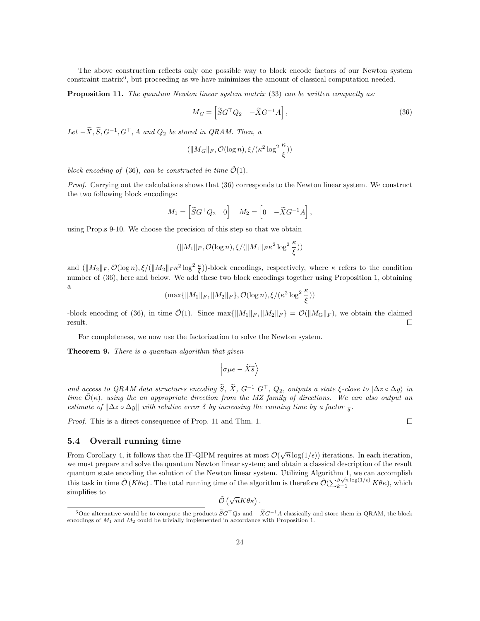The above construction reflects only one possible way to block encode factors of our Newton system constraint matrix<sup>6</sup> , but proceeding as we have minimizes the amount of classical computation needed.

Proposition 11. The quantum Newton linear system matrix (33) can be written compactly as:

$$
M_G = \left[ \tilde{S} G^\top Q_2 \quad -\tilde{X} G^{-1} A \right],\tag{36}
$$

Let  $-\tilde{X}, \tilde{S}, G^{-1}, G^{\top}, A$  and  $Q_2$  be stored in QRAM. Then, a

$$
(\|M_G\|_F,\mathcal{O}(\log n),\xi/(\kappa^2\log^2\frac{\kappa}{\xi}))
$$

block encoding of (36), can be constructed in time  $\tilde{\mathcal{O}}(1)$ .

Proof. Carrying out the calculations shows that (36) corresponds to the Newton linear system. We construct the two following block encodings:

$$
M_1 = \begin{bmatrix} \widetilde{S}G^\top Q_2 & 0 \end{bmatrix} \quad M_2 = \begin{bmatrix} 0 & -\widetilde{X}G^{-1}A \end{bmatrix},
$$

using Prop.s 9-10. We choose the precision of this step so that we obtain

$$
(\|M_1\|_F, \mathcal{O}(\log n), \xi/(\|M_1\|_F\kappa^2\log^2\frac{\kappa}{\xi}))
$$

and  $(\|M_2\|_F, \mathcal{O}(\log n), \xi/(\|M_2\|_F \kappa^2 \log^2 \frac{\kappa}{\xi}))$ -block encodings, respectively, where  $\kappa$  refers to the condition number of (36), here and below. We add these two block encodings together using Proposition 1, obtaining a

 $(\max\{\|M_1\|_F, \|M_2\|_F\}, \mathcal{O}(\log n), \xi/(\kappa^2\log^2\frac{\kappa}{\xi}))$ 

-block encoding of (36), in time  $\mathcal{O}(1)$ . Since  $\max\{\|M_1\|_F, \|M_2\|_F\} = \mathcal{O}(\|M_G\|_F)$ , we obtain the claimed result. result.

For completeness, we now use the factorization to solve the Newton system.

**Theorem 9.** There is a quantum algorithm that given

$$
\left| \sigma \mu e - \widetilde{X} \widetilde{s} \right\rangle
$$

and access to QRAM data structures encoding  $\widetilde{S}$ ,  $\widetilde{X}$ ,  $G^{-1}$   $G^{\top}$ ,  $Q_2$ , outputs a state  $\xi$ -close to  $|\Delta z \circ \Delta y \rangle$  in time  $\tilde{\mathcal{O}}(\kappa)$ , using the an appropriate direction from the MZ family of directions. We can also output an estimate of  $\|\Delta z \circ \Delta y\|$  with relative error  $\delta$  by increasing the running time by a factor  $\frac{1}{\delta}$ .

Proof. This is a direct consequence of Prop. 11 and Thm. 1.

#### 5.4 Overall running time

From Corollary 4, it follows that the IF-QIPM requires at most  $\mathcal{O}(\sqrt{n}\log(1/\epsilon))$  iterations. In each iteration, we must prepare and solve the quantum Newton linear system; and obtain a classical description of the result quantum state encoding the solution of the Newton linear system. Utilizing Algorithm 1, we can accomplish this task in time  $\tilde{\mathcal{O}}(K\theta\kappa)$ . The total running time of the algorithm is therefore  $\tilde{\mathcal{O}}(\sum_{k=1}^{\beta\sqrt{n}}\log(1/\epsilon)K\theta\kappa)$ , which simplifies to

 $\tilde{\mathcal{O}}\left(\sqrt{n}K\theta\kappa\right)$ .

<sup>6</sup>One alternative would be to compute the products  $\widetilde{S}G^{\top}Q_2$  and  $-\widetilde{X}G^{-1}A$  classically and store them in QRAM, the block encodings of  $M_1$  and  $M_2$  could be trivially implemented in accordance with Proposition 1.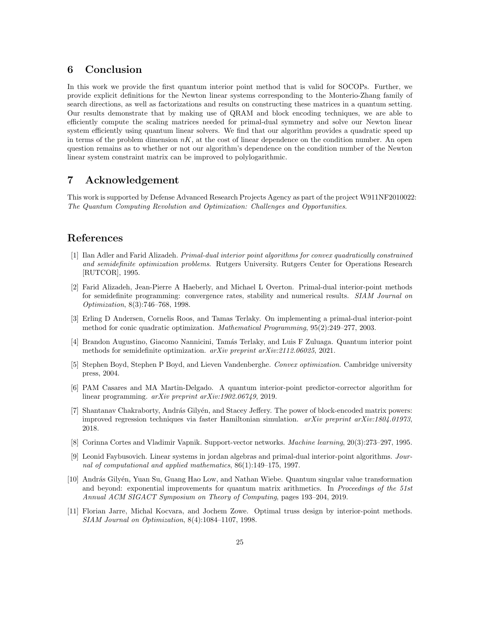# 6 Conclusion

In this work we provide the first quantum interior point method that is valid for SOCOPs. Further, we provide explicit definitions for the Newton linear systems corresponding to the Monterio-Zhang family of search directions, as well as factorizations and results on constructing these matrices in a quantum setting. Our results demonstrate that by making use of QRAM and block encoding techniques, we are able to efficiently compute the scaling matrices needed for primal-dual symmetry and solve our Newton linear system efficiently using quantum linear solvers. We find that our algorithm provides a quadratic speed up in terms of the problem dimension  $nK$ , at the cost of linear dependence on the condition number. An open question remains as to whether or not our algorithm's dependence on the condition number of the Newton linear system constraint matrix can be improved to polylogarithmic.

# 7 Acknowledgement

This work is supported by Defense Advanced Research Projects Agency as part of the project W911NF2010022: The Quantum Computing Revolution and Optimization: Challenges and Opportunities.

# References

- [1] Ilan Adler and Farid Alizadeh. Primal-dual interior point algorithms for convex quadratically constrained and semidefinite optimization problems. Rutgers University. Rutgers Center for Operations Research [RUTCOR], 1995.
- [2] Farid Alizadeh, Jean-Pierre A Haeberly, and Michael L Overton. Primal-dual interior-point methods for semidefinite programming: convergence rates, stability and numerical results. SIAM Journal on Optimization, 8(3):746–768, 1998.
- [3] Erling D Andersen, Cornelis Roos, and Tamas Terlaky. On implementing a primal-dual interior-point method for conic quadratic optimization. Mathematical Programming, 95(2):249–277, 2003.
- [4] Brandon Augustino, Giacomo Nannicini, Tam´as Terlaky, and Luis F Zuluaga. Quantum interior point methods for semidefinite optimization. arXiv preprint arXiv:2112.06025, 2021.
- [5] Stephen Boyd, Stephen P Boyd, and Lieven Vandenberghe. Convex optimization. Cambridge university press, 2004.
- [6] PAM Casares and MA Martin-Delgado. A quantum interior-point predictor-corrector algorithm for linear programming. arXiv preprint arXiv:1902.06749, 2019.
- [7] Shantanav Chakraborty, András Gilyén, and Stacey Jeffery. The power of block-encoded matrix powers: improved regression techniques via faster Hamiltonian simulation.  $arXiv$  preprint  $arXiv:1804.01973$ . 2018.
- [8] Corinna Cortes and Vladimir Vapnik. Support-vector networks. Machine learning, 20(3):273–297, 1995.
- [9] Leonid Faybusovich. Linear systems in jordan algebras and primal-dual interior-point algorithms. Journal of computational and applied mathematics, 86(1):149–175, 1997.
- [10] András Gilyén, Yuan Su, Guang Hao Low, and Nathan Wiebe. Quantum singular value transformation and beyond: exponential improvements for quantum matrix arithmetics. In Proceedings of the 51st Annual ACM SIGACT Symposium on Theory of Computing, pages 193–204, 2019.
- [11] Florian Jarre, Michal Kocvara, and Jochem Zowe. Optimal truss design by interior-point methods. SIAM Journal on Optimization, 8(4):1084–1107, 1998.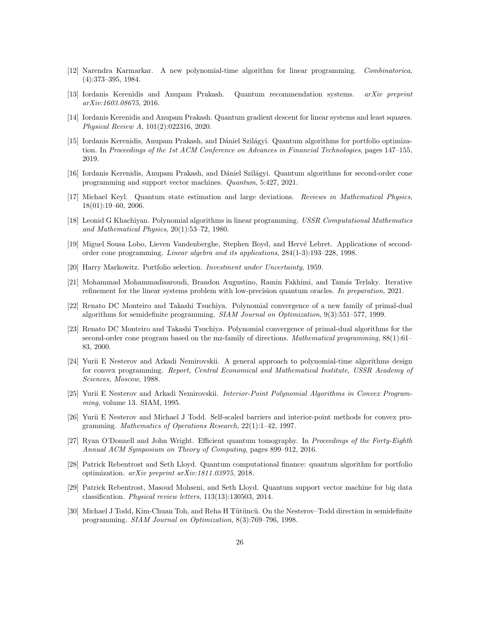- [12] Narendra Karmarkar. A new polynomial-time algorithm for linear programming. Combinatorica, (4):373–395, 1984.
- [13] Iordanis Kerenidis and Anupam Prakash. Quantum recommendation systems. arXiv preprint arXiv:1603.08675, 2016.
- [14] Iordanis Kerenidis and Anupam Prakash. Quantum gradient descent for linear systems and least squares. Physical Review A, 101(2):022316, 2020.
- [15] Iordanis Kerenidis, Anupam Prakash, and Dániel Szilágyi. Quantum algorithms for portfolio optimization. In Proceedings of the 1st ACM Conference on Advances in Financial Technologies, pages 147–155, 2019.
- [16] Iordanis Kerenidis, Anupam Prakash, and Dániel Szilágyi. Quantum algorithms for second-order cone programming and support vector machines. Quantum, 5:427, 2021.
- [17] Michael Keyl. Quantum state estimation and large deviations. Reviews in Mathematical Physics, 18(01):19–60, 2006.
- [18] Leonid G Khachiyan. Polynomial algorithms in linear programming. USSR Computational Mathematics and Mathematical Physics, 20(1):53–72, 1980.
- [19] Miguel Sousa Lobo, Lieven Vandenberghe, Stephen Boyd, and Hervé Lebret. Applications of secondorder cone programming. Linear algebra and its applications, 284(1-3):193–228, 1998.
- [20] Harry Markowitz. Portfolio selection. Investment under Uncertainty, 1959.
- [21] Mohammad Mohammadisaroudi, Brandon Augustino, Ramin Fakhimi, and Tamás Terlaky. Iterative refinement for the linear systems problem with low-precision quantum oracles. In preparation, 2021.
- [22] Renato DC Monteiro and Takashi Tsuchiya. Polynomial convergence of a new family of primal-dual algorithms for semidefinite programming. SIAM Journal on Optimization, 9(3):551–577, 1999.
- [23] Renato DC Monteiro and Takashi Tsuchiya. Polynomial convergence of primal-dual algorithms for the second-order cone program based on the mz-family of directions. Mathematical programming, 88(1):61– 83, 2000.
- [24] Yurii E Nesterov and Arkadi Nemirovskii. A general approach to polynomial-time algorithms design for convex programming. Report, Central Economical and Mathematical Institute, USSR Academy of Sciences, Moscow, 1988.
- [25] Yurii E Nesterov and Arkadi Nemirovskii. Interior-Point Polynomial Algorithms in Convex Programming, volume 13. SIAM, 1995.
- [26] Yurii E Nesterov and Michael J Todd. Self-scaled barriers and interior-point methods for convex programming. Mathematics of Operations Research, 22(1):1–42, 1997.
- [27] Ryan O'Donnell and John Wright. Efficient quantum tomography. In Proceedings of the Forty-Eighth Annual ACM Symposium on Theory of Computing, pages 899–912, 2016.
- [28] Patrick Rebentrost and Seth Lloyd. Quantum computational finance: quantum algorithm for portfolio optimization. arXiv preprint arXiv:1811.03975, 2018.
- [29] Patrick Rebentrost, Masoud Mohseni, and Seth Lloyd. Quantum support vector machine for big data classification. Physical review letters, 113(13):130503, 2014.
- [30] Michael J Todd, Kim-Chuan Toh, and Reha H Tütüncü. On the Nesterov–Todd direction in semidefinite programming. SIAM Journal on Optimization, 8(3):769–796, 1998.